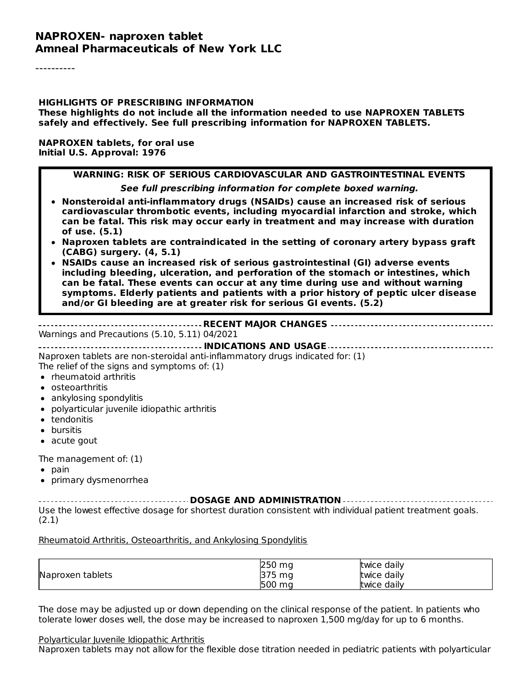#### **NAPROXEN- naproxen tablet Amneal Pharmaceuticals of New York LLC**

----------

#### **HIGHLIGHTS OF PRESCRIBING INFORMATION These highlights do not include all the information needed to use NAPROXEN TABLETS safely and effectively. See full prescribing information for NAPROXEN TABLETS.**

#### **NAPROXEN tablets, for oral use Initial U.S. Approval: 1976**

#### **WARNING: RISK OF SERIOUS CARDIOVASCULAR AND GASTROINTESTINAL EVENTS See full prescribing information for complete boxed warning. Nonsteroidal anti-inflammatory drugs (NSAIDs) cause an increased risk of serious cardiovascular thrombotic events, including myocardial infarction and stroke, which can be fatal. This risk may occur early in treatment and may increase with duration of use. (5.1) Naproxen tablets are contraindicated in the setting of coronary artery bypass graft (CABG) surgery. (4, 5.1) NSAIDs cause an increased risk of serious gastrointestinal (GI) adverse events including bleeding, ulceration, and perforation of the stomach or intestines, which can be fatal. These events can occur at any time during use and without warning symptoms. Elderly patients and patients with a prior history of peptic ulcer disease and/or GI bleeding are at greater risk for serious GI events. (5.2) RECENT MAJOR CHANGES**

Warnings and Precautions (5.10, 5.11) 04/2021

**INDICATIONS AND USAGE**

Naproxen tablets are non-steroidal anti-inflammatory drugs indicated for: (1) The relief of the signs and symptoms of: (1)

- rheumatoid arthritis
- osteoarthritis
- ankylosing spondylitis
- polyarticular juvenile idiopathic arthritis
- tendonitis
- bursitis
- acute gout

The management of: (1)

- $\bullet$  pain
- primary dysmenorrhea

**DOSAGE AND ADMINISTRATION** Use the lowest effective dosage for shortest duration consistent with individual patient treatment goals. (2.1)

#### Rheumatoid Arthritis, Osteoarthritis, and Ankylosing Spondylitis

|                  | 250 mg                    | twice daily |
|------------------|---------------------------|-------------|
| Naproxen tablets | 275.<br>ma<br>IJ /<br>ِ ب | twice daily |
|                  | 500<br>ma                 | twice daily |

The dose may be adjusted up or down depending on the clinical response of the patient. In patients who tolerate lower doses well, the dose may be increased to naproxen 1,500 mg/day for up to 6 months.

#### Polyarticular Juvenile Idiopathic Arthritis

Naproxen tablets may not allow for the flexible dose titration needed in pediatric patients with polyarticular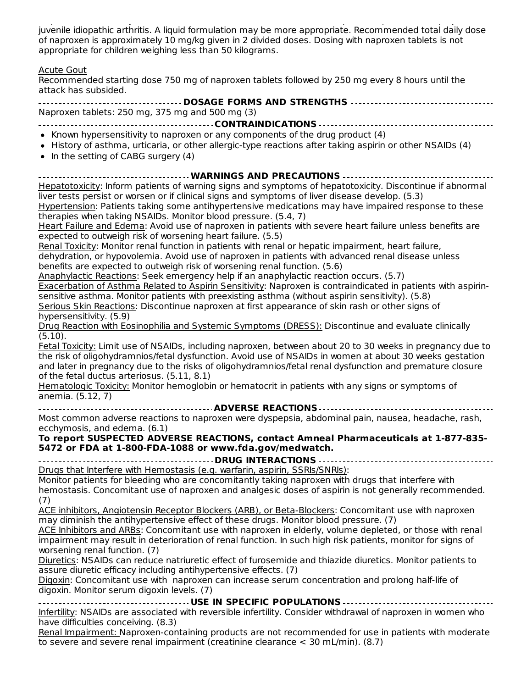Naproxen tablets may not allow for the flexible dose titration needed in pediatric patients with polyarticular juvenile idiopathic arthritis. A liquid formulation may be more appropriate. Recommended total daily dose of naproxen is approximately 10 mg/kg given in 2 divided doses. Dosing with naproxen tablets is not appropriate for children weighing less than 50 kilograms.

#### Acute Gout

Recommended starting dose 750 mg of naproxen tablets followed by 250 mg every 8 hours until the attack has subsided.

| ------------------------------------ DOSAGE FORMS AND STRENGTHS -----------------------------------                                                                                                                                         |
|---------------------------------------------------------------------------------------------------------------------------------------------------------------------------------------------------------------------------------------------|
| Naproxen tablets: 250 mg, 375 mg and 500 mg (3)                                                                                                                                                                                             |
|                                                                                                                                                                                                                                             |
| • Known hypersensitivity to naproxen or any components of the drug product (4)<br>• History of asthma, urticaria, or other allergic-type reactions after taking aspirin or other NSAIDs (4)<br>$\bullet$ In the setting of CABG surgery (4) |
| Hepatotoxicity: Inform patients of warning signs and symptoms of hepatotoxicity. Discontinue if abnormal<br>$\ln$ is the particle of unreader $\frac{1}{2}$ divided since and symptoms of $\ln$ is $\frac{1}{2}$ decoded develop (E.3)      |

liver tests persist or worsen or if clinical signs and symptoms of liver disease develop. (5.3) Hypertension: Patients taking some antihypertensive medications may have impaired response to these therapies when taking NSAIDs. Monitor blood pressure. (5.4, 7)

Heart Failure and Edema: Avoid use of naproxen in patients with severe heart failure unless benefits are expected to outweigh risk of worsening heart failure. (5.5)

Renal Toxicity: Monitor renal function in patients with renal or hepatic impairment, heart failure, dehydration, or hypovolemia. Avoid use of naproxen in patients with advanced renal disease unless benefits are expected to outweigh risk of worsening renal function. (5.6)

Anaphylactic Reactions: Seek emergency help if an anaphylactic reaction occurs. (5.7)

Exacerbation of Asthma Related to Aspirin Sensitivity: Naproxen is contraindicated in patients with aspirinsensitive asthma. Monitor patients with preexisting asthma (without aspirin sensitivity). (5.8) Serious Skin Reactions: Discontinue naproxen at first appearance of skin rash or other signs of

hypersensitivity. (5.9) Drug Reaction with Eosinophilia and Systemic Symptoms (DRESS): Discontinue and evaluate clinically

(5.10). Fetal Toxicity: Limit use of NSAIDs, including naproxen, between about 20 to 30 weeks in pregnancy due to the risk of oligohydramnios/fetal dysfunction. Avoid use of NSAIDs in women at about 30 weeks gestation and later in pregnancy due to the risks of oligohydramnios/fetal renal dysfunction and premature closure of the fetal ductus arteriosus. (5.11, 8.1)

Hematologic Toxicity: Monitor hemoglobin or hematocrit in patients with any signs or symptoms of anemia. (5.12, 7)

**ADVERSE REACTIONS** Most common adverse reactions to naproxen were dyspepsia, abdominal pain, nausea, headache, rash, ecchymosis, and edema. (6.1)

**To report SUSPECTED ADVERSE REACTIONS, contact Amneal Pharmaceuticals at 1-877-835- 5472 or FDA at 1-800-FDA-1088 or www.fda.gov/medwatch.**

**DRUG INTERACTIONS**

Drugs that Interfere with Hemostasis (e.g. warfarin, aspirin, SSRIs/SNRIs):

Monitor patients for bleeding who are concomitantly taking naproxen with drugs that interfere with hemostasis. Concomitant use of naproxen and analgesic doses of aspirin is not generally recommended. (7)

ACE inhibitors, Angiotensin Receptor Blockers (ARB), or Beta-Blockers: Concomitant use with naproxen may diminish the antihypertensive effect of these drugs. Monitor blood pressure. (7)

ACE Inhibitors and ARBs: Concomitant use with naproxen in elderly, volume depleted, or those with renal impairment may result in deterioration of renal function. In such high risk patients, monitor for signs of worsening renal function. (7)

Diuretics: NSAIDs can reduce natriuretic effect of furosemide and thiazide diuretics. Monitor patients to assure diuretic efficacy including antihypertensive effects. (7)

Digoxin: Concomitant use with naproxen can increase serum concentration and prolong half-life of digoxin. Monitor serum digoxin levels. (7)

**USE IN SPECIFIC POPULATIONS** Infertility: NSAIDs are associated with reversible infertility. Consider withdrawal of naproxen in women who have difficulties conceiving. (8.3)

Renal Impairment: Naproxen-containing products are not recommended for use in patients with moderate to severe and severe renal impairment (creatinine clearance < 30 mL/min). (8.7)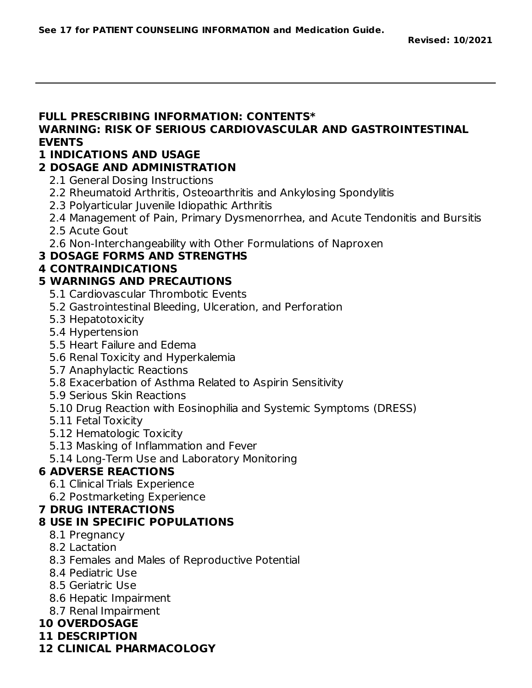### **FULL PRESCRIBING INFORMATION: CONTENTS\***

### **WARNING: RISK OF SERIOUS CARDIOVASCULAR AND GASTROINTESTINAL EVENTS**

### **1 INDICATIONS AND USAGE**

### **2 DOSAGE AND ADMINISTRATION**

- 2.1 General Dosing Instructions
- 2.2 Rheumatoid Arthritis, Osteoarthritis and Ankylosing Spondylitis
- 2.3 Polyarticular Juvenile Idiopathic Arthritis
- 2.4 Management of Pain, Primary Dysmenorrhea, and Acute Tendonitis and Bursitis
- 2.5 Acute Gout
- 2.6 Non-Interchangeability with Other Formulations of Naproxen

### **3 DOSAGE FORMS AND STRENGTHS**

### **4 CONTRAINDICATIONS**

### **5 WARNINGS AND PRECAUTIONS**

- 5.1 Cardiovascular Thrombotic Events
- 5.2 Gastrointestinal Bleeding, Ulceration, and Perforation
- 5.3 Hepatotoxicity
- 5.4 Hypertension
- 5.5 Heart Failure and Edema
- 5.6 Renal Toxicity and Hyperkalemia
- 5.7 Anaphylactic Reactions
- 5.8 Exacerbation of Asthma Related to Aspirin Sensitivity
- 5.9 Serious Skin Reactions
- 5.10 Drug Reaction with Eosinophilia and Systemic Symptoms (DRESS)
- 5.11 Fetal Toxicity
- 5.12 Hematologic Toxicity
- 5.13 Masking of Inflammation and Fever
- 5.14 Long-Term Use and Laboratory Monitoring

### **6 ADVERSE REACTIONS**

- 6.1 Clinical Trials Experience
- 6.2 Postmarketing Experience

### **7 DRUG INTERACTIONS**

### **8 USE IN SPECIFIC POPULATIONS**

- 8.1 Pregnancy
- 8.2 Lactation
- 8.3 Females and Males of Reproductive Potential
- 8.4 Pediatric Use
- 8.5 Geriatric Use
- 8.6 Hepatic Impairment
- 8.7 Renal Impairment

### **10 OVERDOSAGE**

- **11 DESCRIPTION**
- **12 CLINICAL PHARMACOLOGY**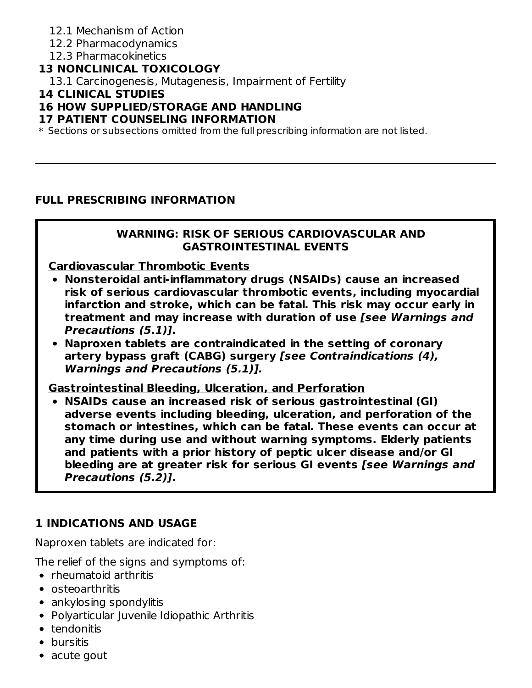### 12.1 Mechanism of Action

- 12.2 Pharmacodynamics
- 12.3 Pharmacokinetics

### **13 NONCLINICAL TOXICOLOGY**

13.1 Carcinogenesis, Mutagenesis, Impairment of Fertility

### **14 CLINICAL STUDIES**

### **16 HOW SUPPLIED/STORAGE AND HANDLING**

### **17 PATIENT COUNSELING INFORMATION**

 $\ast$  Sections or subsections omitted from the full prescribing information are not listed.

#### **FULL PRESCRIBING INFORMATION**

#### **WARNING: RISK OF SERIOUS CARDIOVASCULAR AND GASTROINTESTINAL EVENTS**

**Cardiovascular Thrombotic Events**

- **Nonsteroidal anti-inflammatory drugs (NSAIDs) cause an increased risk of serious cardiovascular thrombotic events, including myocardial infarction and stroke, which can be fatal. This risk may occur early in treatment and may increase with duration of use [see Warnings and Precautions (5.1)].**
- **Naproxen tablets are contraindicated in the setting of coronary artery bypass graft (CABG) surgery [see Contraindications (4), Warnings and Precautions (5.1)].**

**Gastrointestinal Bleeding, Ulceration, and Perforation**

**NSAIDs cause an increased risk of serious gastrointestinal (GI) adverse events including bleeding, ulceration, and perforation of the stomach or intestines, which can be fatal. These events can occur at any time during use and without warning symptoms. Elderly patients and patients with a prior history of peptic ulcer disease and/or GI bleeding are at greater risk for serious GI events [see Warnings and Precautions (5.2)].**

### **1 INDICATIONS AND USAGE**

Naproxen tablets are indicated for:

The relief of the signs and symptoms of:

- rheumatoid arthritis
- osteoarthritis
- ankylosing spondylitis
- Polyarticular Juvenile Idiopathic Arthritis
- tendonitis
- **•** bursitis
- acute gout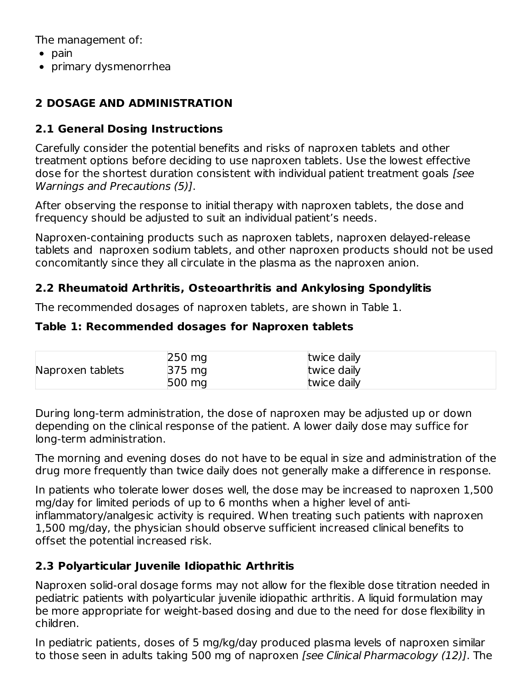The management of:

- $\bullet$  pain
- primary dysmenorrhea

### **2 DOSAGE AND ADMINISTRATION**

### **2.1 General Dosing Instructions**

Carefully consider the potential benefits and risks of naproxen tablets and other treatment options before deciding to use naproxen tablets. Use the lowest effective dose for the shortest duration consistent with individual patient treatment goals [see Warnings and Precautions (5)].

After observing the response to initial therapy with naproxen tablets, the dose and frequency should be adjusted to suit an individual patient's needs.

Naproxen-containing products such as naproxen tablets, naproxen delayed-release tablets and naproxen sodium tablets, and other naproxen products should not be used concomitantly since they all circulate in the plasma as the naproxen anion.

### **2.2 Rheumatoid Arthritis, Osteoarthritis and Ankylosing Spondylitis**

The recommended dosages of naproxen tablets, are shown in Table 1.

### **Table 1: Recommended dosages for Naproxen tablets**

|                  | $250 \text{ mg}$ | twice daily |  |
|------------------|------------------|-------------|--|
| Naproxen tablets | 375 mg           | twice daily |  |
|                  | 500 mg           | twice daily |  |

During long-term administration, the dose of naproxen may be adjusted up or down depending on the clinical response of the patient. A lower daily dose may suffice for long-term administration.

The morning and evening doses do not have to be equal in size and administration of the drug more frequently than twice daily does not generally make a difference in response.

In patients who tolerate lower doses well, the dose may be increased to naproxen 1,500 mg/day for limited periods of up to 6 months when a higher level of antiinflammatory/analgesic activity is required. When treating such patients with naproxen 1,500 mg/day, the physician should observe sufficient increased clinical benefits to offset the potential increased risk.

### **2.3 Polyarticular Juvenile Idiopathic Arthritis**

Naproxen solid-oral dosage forms may not allow for the flexible dose titration needed in pediatric patients with polyarticular juvenile idiopathic arthritis. A liquid formulation may be more appropriate for weight-based dosing and due to the need for dose flexibility in children.

In pediatric patients, doses of 5 mg/kg/day produced plasma levels of naproxen similar to those seen in adults taking 500 mg of naproxen *[see Clinical Pharmacology (12)]*. The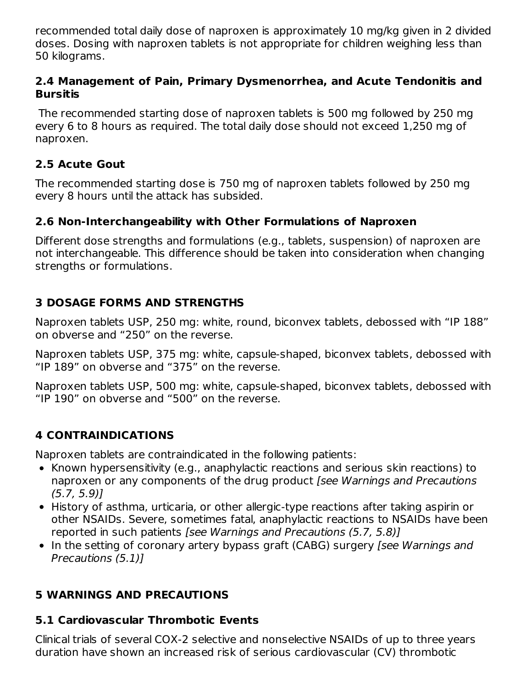recommended total daily dose of naproxen is approximately 10 mg/kg given in 2 divided doses. Dosing with naproxen tablets is not appropriate for children weighing less than 50 kilograms.

### **2.4 Management of Pain, Primary Dysmenorrhea, and Acute Tendonitis and Bursitis**

The recommended starting dose of naproxen tablets is 500 mg followed by 250 mg every 6 to 8 hours as required. The total daily dose should not exceed 1,250 mg of naproxen.

### **2.5 Acute Gout**

The recommended starting dose is 750 mg of naproxen tablets followed by 250 mg every 8 hours until the attack has subsided.

### **2.6 Non-Interchangeability with Other Formulations of Naproxen**

Different dose strengths and formulations (e.g., tablets, suspension) of naproxen are not interchangeable. This difference should be taken into consideration when changing strengths or formulations.

### **3 DOSAGE FORMS AND STRENGTHS**

Naproxen tablets USP, 250 mg: white, round, biconvex tablets, debossed with "IP 188" on obverse and "250" on the reverse.

Naproxen tablets USP, 375 mg: white, capsule-shaped, biconvex tablets, debossed with "IP 189" on obverse and "375" on the reverse.

Naproxen tablets USP, 500 mg: white, capsule-shaped, biconvex tablets, debossed with "IP 190" on obverse and "500" on the reverse.

### **4 CONTRAINDICATIONS**

Naproxen tablets are contraindicated in the following patients:

- Known hypersensitivity (e.g., anaphylactic reactions and serious skin reactions) to naproxen or any components of the drug product [see Warnings and Precautions  $(5.7, 5.9)$
- History of asthma, urticaria, or other allergic-type reactions after taking aspirin or other NSAIDs. Severe, sometimes fatal, anaphylactic reactions to NSAIDs have been reported in such patients [see Warnings and Precautions (5.7, 5.8)]
- In the setting of coronary artery bypass graft (CABG) surgery *[see Warnings and* Precautions (5.1)]

### **5 WARNINGS AND PRECAUTIONS**

### **5.1 Cardiovascular Thrombotic Events**

Clinical trials of several COX-2 selective and nonselective NSAIDs of up to three years duration have shown an increased risk of serious cardiovascular (CV) thrombotic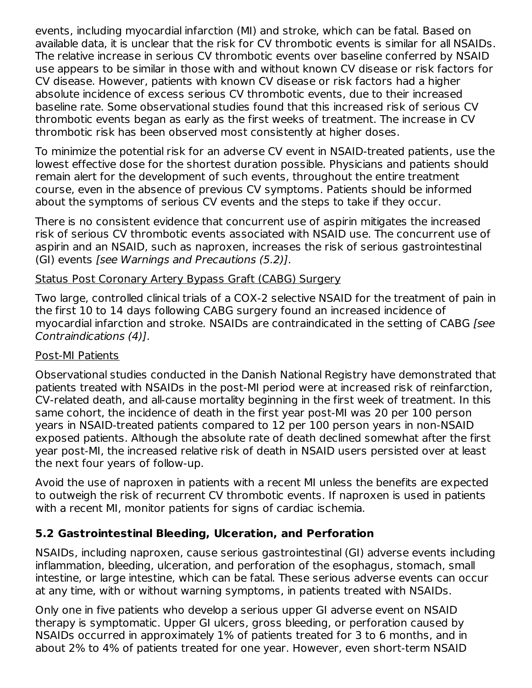events, including myocardial infarction (MI) and stroke, which can be fatal. Based on available data, it is unclear that the risk for CV thrombotic events is similar for all NSAIDs. The relative increase in serious CV thrombotic events over baseline conferred by NSAID use appears to be similar in those with and without known CV disease or risk factors for CV disease. However, patients with known CV disease or risk factors had a higher absolute incidence of excess serious CV thrombotic events, due to their increased baseline rate. Some observational studies found that this increased risk of serious CV thrombotic events began as early as the first weeks of treatment. The increase in CV thrombotic risk has been observed most consistently at higher doses.

To minimize the potential risk for an adverse CV event in NSAID-treated patients, use the lowest effective dose for the shortest duration possible. Physicians and patients should remain alert for the development of such events, throughout the entire treatment course, even in the absence of previous CV symptoms. Patients should be informed about the symptoms of serious CV events and the steps to take if they occur.

There is no consistent evidence that concurrent use of aspirin mitigates the increased risk of serious CV thrombotic events associated with NSAID use. The concurrent use of aspirin and an NSAID, such as naproxen, increases the risk of serious gastrointestinal (GI) events [see Warnings and Precautions (5.2)].

#### Status Post Coronary Artery Bypass Graft (CABG) Surgery

Two large, controlled clinical trials of a COX-2 selective NSAID for the treatment of pain in the first 10 to 14 days following CABG surgery found an increased incidence of myocardial infarction and stroke. NSAIDs are contraindicated in the setting of CABG [see Contraindications (4)].

#### Post-MI Patients

Observational studies conducted in the Danish National Registry have demonstrated that patients treated with NSAIDs in the post-MI period were at increased risk of reinfarction, CV-related death, and all-cause mortality beginning in the first week of treatment. In this same cohort, the incidence of death in the first year post-MI was 20 per 100 person years in NSAID-treated patients compared to 12 per 100 person years in non-NSAID exposed patients. Although the absolute rate of death declined somewhat after the first year post-MI, the increased relative risk of death in NSAID users persisted over at least the next four years of follow-up.

Avoid the use of naproxen in patients with a recent MI unless the benefits are expected to outweigh the risk of recurrent CV thrombotic events. If naproxen is used in patients with a recent MI, monitor patients for signs of cardiac ischemia.

### **5.2 Gastrointestinal Bleeding, Ulceration, and Perforation**

NSAIDs, including naproxen, cause serious gastrointestinal (GI) adverse events including inflammation, bleeding, ulceration, and perforation of the esophagus, stomach, small intestine, or large intestine, which can be fatal. These serious adverse events can occur at any time, with or without warning symptoms, in patients treated with NSAIDs.

Only one in five patients who develop a serious upper GI adverse event on NSAID therapy is symptomatic. Upper GI ulcers, gross bleeding, or perforation caused by NSAIDs occurred in approximately 1% of patients treated for 3 to 6 months, and in about 2% to 4% of patients treated for one year. However, even short-term NSAID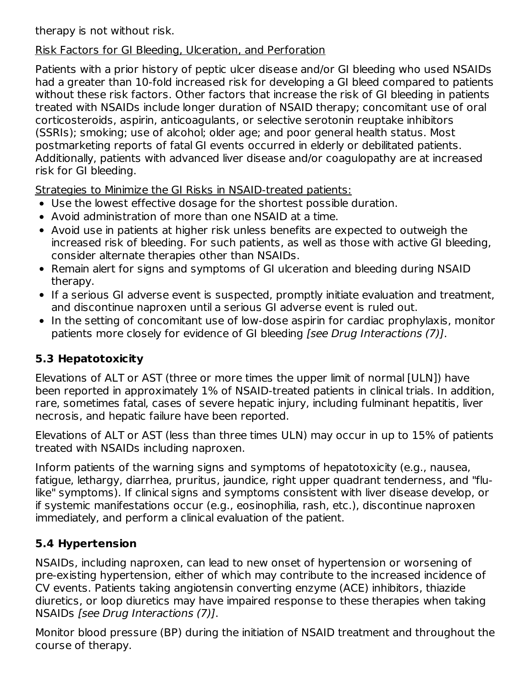therapy is not without risk.

### Risk Factors for GI Bleeding, Ulceration, and Perforation

Patients with a prior history of peptic ulcer disease and/or GI bleeding who used NSAIDs had a greater than 10-fold increased risk for developing a GI bleed compared to patients without these risk factors. Other factors that increase the risk of GI bleeding in patients treated with NSAIDs include longer duration of NSAID therapy; concomitant use of oral corticosteroids, aspirin, anticoagulants, or selective serotonin reuptake inhibitors (SSRIs); smoking; use of alcohol; older age; and poor general health status. Most postmarketing reports of fatal GI events occurred in elderly or debilitated patients. Additionally, patients with advanced liver disease and/or coagulopathy are at increased risk for GI bleeding.

Strategies to Minimize the GI Risks in NSAID-treated patients:

- Use the lowest effective dosage for the shortest possible duration.
- Avoid administration of more than one NSAID at a time.
- Avoid use in patients at higher risk unless benefits are expected to outweigh the increased risk of bleeding. For such patients, as well as those with active GI bleeding, consider alternate therapies other than NSAIDs.
- Remain alert for signs and symptoms of GI ulceration and bleeding during NSAID therapy.
- If a serious GI adverse event is suspected, promptly initiate evaluation and treatment, and discontinue naproxen until a serious GI adverse event is ruled out.
- In the setting of concomitant use of low-dose aspirin for cardiac prophylaxis, monitor patients more closely for evidence of GI bleeding [see Drug Interactions (7)].

# **5.3 Hepatotoxicity**

Elevations of ALT or AST (three or more times the upper limit of normal [ULN]) have been reported in approximately 1% of NSAID-treated patients in clinical trials. In addition, rare, sometimes fatal, cases of severe hepatic injury, including fulminant hepatitis, liver necrosis, and hepatic failure have been reported.

Elevations of ALT or AST (less than three times ULN) may occur in up to 15% of patients treated with NSAIDs including naproxen.

Inform patients of the warning signs and symptoms of hepatotoxicity (e.g., nausea, fatigue, lethargy, diarrhea, pruritus, jaundice, right upper quadrant tenderness, and "flulike" symptoms). If clinical signs and symptoms consistent with liver disease develop, or if systemic manifestations occur (e.g., eosinophilia, rash, etc.), discontinue naproxen immediately, and perform a clinical evaluation of the patient.

# **5.4 Hypertension**

NSAIDs, including naproxen, can lead to new onset of hypertension or worsening of pre-existing hypertension, either of which may contribute to the increased incidence of CV events. Patients taking angiotensin converting enzyme (ACE) inhibitors, thiazide diuretics, or loop diuretics may have impaired response to these therapies when taking NSAIDs [see Drug Interactions (7)].

Monitor blood pressure (BP) during the initiation of NSAID treatment and throughout the course of therapy.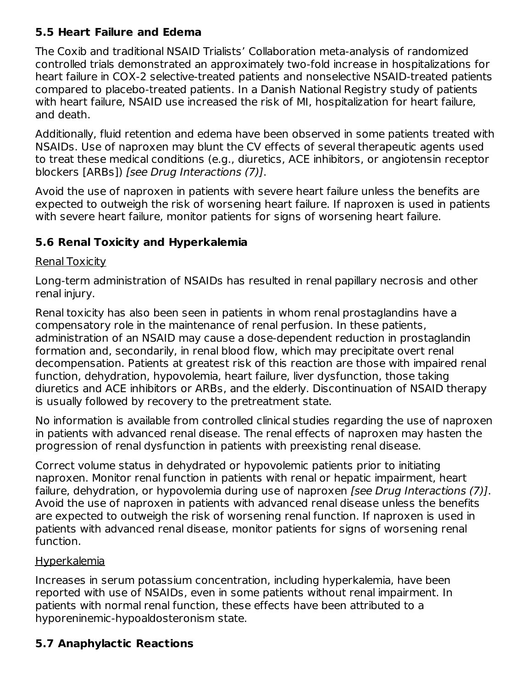### **5.5 Heart Failure and Edema**

The Coxib and traditional NSAID Trialists' Collaboration meta-analysis of randomized controlled trials demonstrated an approximately two-fold increase in hospitalizations for heart failure in COX-2 selective-treated patients and nonselective NSAID-treated patients compared to placebo-treated patients. In a Danish National Registry study of patients with heart failure, NSAID use increased the risk of MI, hospitalization for heart failure, and death.

Additionally, fluid retention and edema have been observed in some patients treated with NSAIDs. Use of naproxen may blunt the CV effects of several therapeutic agents used to treat these medical conditions (e.g., diuretics, ACE inhibitors, or angiotensin receptor blockers [ARBs]) [see Drug Interactions (7)].

Avoid the use of naproxen in patients with severe heart failure unless the benefits are expected to outweigh the risk of worsening heart failure. If naproxen is used in patients with severe heart failure, monitor patients for signs of worsening heart failure.

### **5.6 Renal Toxicity and Hyperkalemia**

### Renal Toxicity

Long-term administration of NSAIDs has resulted in renal papillary necrosis and other renal injury.

Renal toxicity has also been seen in patients in whom renal prostaglandins have a compensatory role in the maintenance of renal perfusion. In these patients, administration of an NSAID may cause a dose-dependent reduction in prostaglandin formation and, secondarily, in renal blood flow, which may precipitate overt renal decompensation. Patients at greatest risk of this reaction are those with impaired renal function, dehydration, hypovolemia, heart failure, liver dysfunction, those taking diuretics and ACE inhibitors or ARBs, and the elderly. Discontinuation of NSAID therapy is usually followed by recovery to the pretreatment state.

No information is available from controlled clinical studies regarding the use of naproxen in patients with advanced renal disease. The renal effects of naproxen may hasten the progression of renal dysfunction in patients with preexisting renal disease.

Correct volume status in dehydrated or hypovolemic patients prior to initiating naproxen. Monitor renal function in patients with renal or hepatic impairment, heart failure, dehydration, or hypovolemia during use of naproxen [see Drug Interactions (7)]. Avoid the use of naproxen in patients with advanced renal disease unless the benefits are expected to outweigh the risk of worsening renal function. If naproxen is used in patients with advanced renal disease, monitor patients for signs of worsening renal function.

### **Hyperkalemia**

Increases in serum potassium concentration, including hyperkalemia, have been reported with use of NSAIDs, even in some patients without renal impairment. In patients with normal renal function, these effects have been attributed to a hyporeninemic-hypoaldosteronism state.

# **5.7 Anaphylactic Reactions**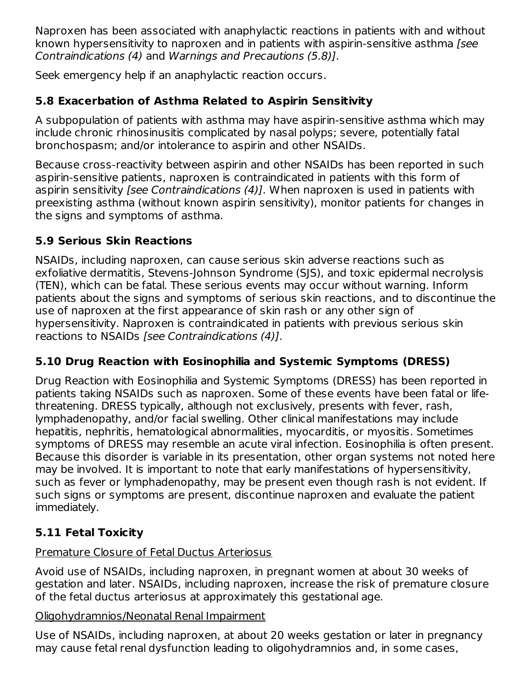Naproxen has been associated with anaphylactic reactions in patients with and without known hypersensitivity to naproxen and in patients with aspirin-sensitive asthma (see Contraindications (4) and Warnings and Precautions (5.8)].

Seek emergency help if an anaphylactic reaction occurs.

### **5.8 Exacerbation of Asthma Related to Aspirin Sensitivity**

A subpopulation of patients with asthma may have aspirin-sensitive asthma which may include chronic rhinosinusitis complicated by nasal polyps; severe, potentially fatal bronchospasm; and/or intolerance to aspirin and other NSAIDs.

Because cross-reactivity between aspirin and other NSAIDs has been reported in such aspirin-sensitive patients, naproxen is contraindicated in patients with this form of aspirin sensitivity [see Contraindications (4)]. When naproxen is used in patients with preexisting asthma (without known aspirin sensitivity), monitor patients for changes in the signs and symptoms of asthma.

### **5.9 Serious Skin Reactions**

NSAIDs, including naproxen, can cause serious skin adverse reactions such as exfoliative dermatitis, Stevens-Johnson Syndrome (SJS), and toxic epidermal necrolysis (TEN), which can be fatal. These serious events may occur without warning. Inform patients about the signs and symptoms of serious skin reactions, and to discontinue the use of naproxen at the first appearance of skin rash or any other sign of hypersensitivity. Naproxen is contraindicated in patients with previous serious skin reactions to NSAIDs [see Contraindications (4)].

### **5.10 Drug Reaction with Eosinophilia and Systemic Symptoms (DRESS)**

Drug Reaction with Eosinophilia and Systemic Symptoms (DRESS) has been reported in patients taking NSAIDs such as naproxen. Some of these events have been fatal or lifethreatening. DRESS typically, although not exclusively, presents with fever, rash, lymphadenopathy, and/or facial swelling. Other clinical manifestations may include hepatitis, nephritis, hematological abnormalities, myocarditis, or myositis. Sometimes symptoms of DRESS may resemble an acute viral infection. Eosinophilia is often present. Because this disorder is variable in its presentation, other organ systems not noted here may be involved. It is important to note that early manifestations of hypersensitivity, such as fever or lymphadenopathy, may be present even though rash is not evident. If such signs or symptoms are present, discontinue naproxen and evaluate the patient immediately.

# **5.11 Fetal Toxicity**

### Premature Closure of Fetal Ductus Arteriosus

Avoid use of NSAIDs, including naproxen, in pregnant women at about 30 weeks of gestation and later. NSAIDs, including naproxen, increase the risk of premature closure of the fetal ductus arteriosus at approximately this gestational age.

### Oligohydramnios/Neonatal Renal Impairment

Use of NSAIDs, including naproxen, at about 20 weeks gestation or later in pregnancy may cause fetal renal dysfunction leading to oligohydramnios and, in some cases,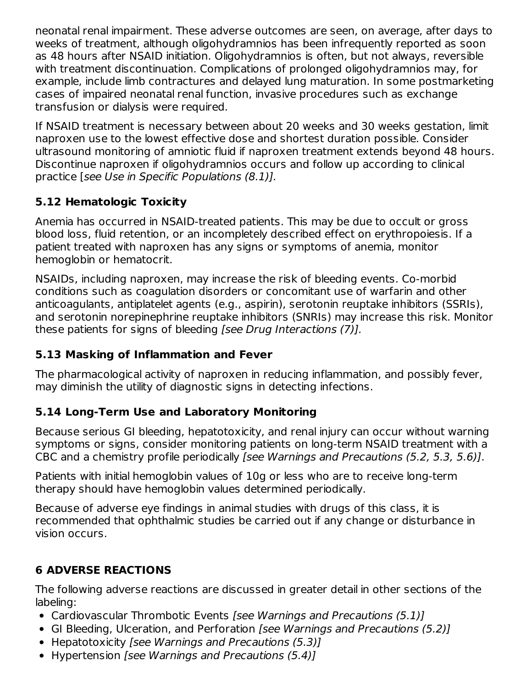neonatal renal impairment. These adverse outcomes are seen, on average, after days to weeks of treatment, although oligohydramnios has been infrequently reported as soon as 48 hours after NSAID initiation. Oligohydramnios is often, but not always, reversible with treatment discontinuation. Complications of prolonged oligohydramnios may, for example, include limb contractures and delayed lung maturation. In some postmarketing cases of impaired neonatal renal function, invasive procedures such as exchange transfusion or dialysis were required.

If NSAID treatment is necessary between about 20 weeks and 30 weeks gestation, limit naproxen use to the lowest effective dose and shortest duration possible. Consider ultrasound monitoring of amniotic fluid if naproxen treatment extends beyond 48 hours. Discontinue naproxen if oligohydramnios occurs and follow up according to clinical practice [see Use in Specific Populations (8.1)].

### **5.12 Hematologic Toxicity**

Anemia has occurred in NSAID-treated patients. This may be due to occult or gross blood loss, fluid retention, or an incompletely described effect on erythropoiesis. If a patient treated with naproxen has any signs or symptoms of anemia, monitor hemoglobin or hematocrit.

NSAIDs, including naproxen, may increase the risk of bleeding events. Co-morbid conditions such as coagulation disorders or concomitant use of warfarin and other anticoagulants, antiplatelet agents (e.g., aspirin), serotonin reuptake inhibitors (SSRIs), and serotonin norepinephrine reuptake inhibitors (SNRIs) may increase this risk. Monitor these patients for signs of bleeding [see Drug Interactions (7)].

### **5.13 Masking of Inflammation and Fever**

The pharmacological activity of naproxen in reducing inflammation, and possibly fever, may diminish the utility of diagnostic signs in detecting infections.

### **5.14 Long-Term Use and Laboratory Monitoring**

Because serious GI bleeding, hepatotoxicity, and renal injury can occur without warning symptoms or signs, consider monitoring patients on long-term NSAID treatment with a CBC and a chemistry profile periodically [see Warnings and Precautions (5.2, 5.3, 5.6)].

Patients with initial hemoglobin values of 10g or less who are to receive long-term therapy should have hemoglobin values determined periodically.

Because of adverse eye findings in animal studies with drugs of this class, it is recommended that ophthalmic studies be carried out if any change or disturbance in vision occurs.

### **6 ADVERSE REACTIONS**

The following adverse reactions are discussed in greater detail in other sections of the labeling:

- Cardiovascular Thrombotic Events [see Warnings and Precautions (5.1)]
- GI Bleeding, Ulceration, and Perforation *[see Warnings and Precautions (5.2)]*
- Hepatotoxicity [see Warnings and Precautions (5.3)]
- Hypertension *[see Warnings and Precautions (5.4)]*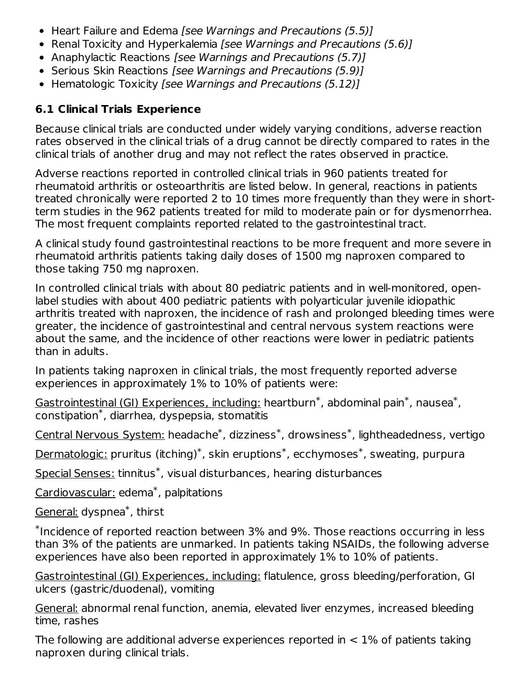- Heart Failure and Edema [see Warnings and Precautions (5.5)]
- Renal Toxicity and Hyperkalemia [see Warnings and Precautions (5.6)]
- Anaphylactic Reactions [see Warnings and Precautions (5.7)]
- Serious Skin Reactions [see Warnings and Precautions (5.9)]
- Hematologic Toxicity [see Warnings and Precautions (5.12)]

### **6.1 Clinical Trials Experience**

Because clinical trials are conducted under widely varying conditions, adverse reaction rates observed in the clinical trials of a drug cannot be directly compared to rates in the clinical trials of another drug and may not reflect the rates observed in practice.

Adverse reactions reported in controlled clinical trials in 960 patients treated for rheumatoid arthritis or osteoarthritis are listed below. In general, reactions in patients treated chronically were reported 2 to 10 times more frequently than they were in shortterm studies in the 962 patients treated for mild to moderate pain or for dysmenorrhea. The most frequent complaints reported related to the gastrointestinal tract.

A clinical study found gastrointestinal reactions to be more frequent and more severe in rheumatoid arthritis patients taking daily doses of 1500 mg naproxen compared to those taking 750 mg naproxen.

In controlled clinical trials with about 80 pediatric patients and in well-monitored, openlabel studies with about 400 pediatric patients with polyarticular juvenile idiopathic arthritis treated with naproxen, the incidence of rash and prolonged bleeding times were greater, the incidence of gastrointestinal and central nervous system reactions were about the same, and the incidence of other reactions were lower in pediatric patients than in adults.

In patients taking naproxen in clinical trials, the most frequently reported adverse experiences in approximately 1% to 10% of patients were:

Gastrointestinal (GI) Experiences, including: heartburn<sup>\*</sup>, abdominal pain<sup>\*</sup>, nausea<sup>\*</sup>,  $constant^*$ , diarrhea, dyspepsia, stomatitis

<u>Central Nervous System:</u> headache $^\ast$ , dizziness $^\ast$ , drowsiness $^\ast$ , lightheadedness, vertigo

Dermatologic: pruritus (itching)\*, skin eruptions\*, ecchymoses\*, sweating, purpura

Special Senses: tinnitus<sup>\*</sup>, visual disturbances, hearing disturbances

Cardiovascular: edema<sup>\*</sup>, palpitations

General: dyspnea<sup>\*</sup>, thirst

 $*$ Incidence of reported reaction between 3% and 9%. Those reactions occurring in less than 3% of the patients are unmarked. In patients taking NSAIDs, the following adverse experiences have also been reported in approximately 1% to 10% of patients.

Gastrointestinal (GI) Experiences, including: flatulence, gross bleeding/perforation, GI ulcers (gastric/duodenal), vomiting

General: abnormal renal function, anemia, elevated liver enzymes, increased bleeding time, rashes

The following are additional adverse experiences reported in  $< 1\%$  of patients taking naproxen during clinical trials.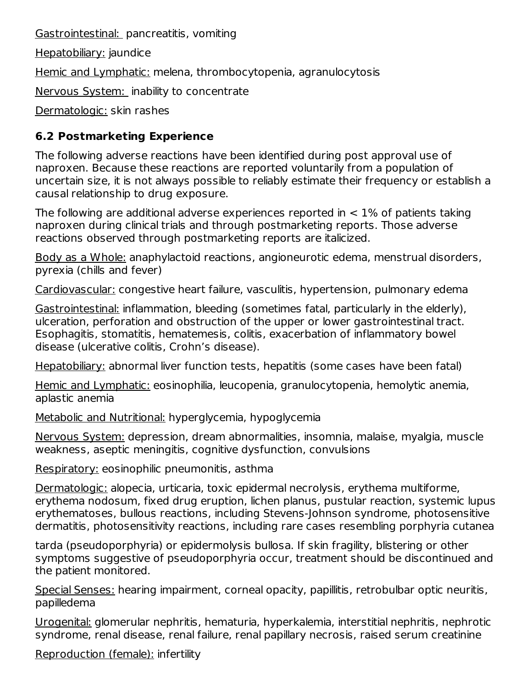Gastrointestinal: pancreatitis, vomiting

Hepatobiliary: jaundice

Hemic and Lymphatic: melena, thrombocytopenia, agranulocytosis

Nervous System: inability to concentrate

Dermatologic: skin rashes

### **6.2 Postmarketing Experience**

The following adverse reactions have been identified during post approval use of naproxen. Because these reactions are reported voluntarily from a population of uncertain size, it is not always possible to reliably estimate their frequency or establish a causal relationship to drug exposure.

The following are additional adverse experiences reported in  $< 1\%$  of patients taking naproxen during clinical trials and through postmarketing reports. Those adverse reactions observed through postmarketing reports are italicized.

Body as a Whole: anaphylactoid reactions, angioneurotic edema, menstrual disorders, pyrexia (chills and fever)

Cardiovascular: congestive heart failure, vasculitis, hypertension, pulmonary edema

Gastrointestinal: inflammation, bleeding (sometimes fatal, particularly in the elderly), ulceration, perforation and obstruction of the upper or lower gastrointestinal tract. Esophagitis, stomatitis, hematemesis, colitis, exacerbation of inflammatory bowel disease (ulcerative colitis, Crohn's disease).

Hepatobiliary: abnormal liver function tests, hepatitis (some cases have been fatal)

Hemic and Lymphatic: eosinophilia, leucopenia, granulocytopenia, hemolytic anemia, aplastic anemia

Metabolic and Nutritional: hyperglycemia, hypoglycemia

Nervous System: depression, dream abnormalities, insomnia, malaise, myalgia, muscle weakness, aseptic meningitis, cognitive dysfunction, convulsions

Respiratory: eosinophilic pneumonitis, asthma

Dermatologic: alopecia, urticaria, toxic epidermal necrolysis, erythema multiforme, erythema nodosum, fixed drug eruption, lichen planus, pustular reaction, systemic lupus erythematoses, bullous reactions, including Stevens-Johnson syndrome, photosensitive dermatitis, photosensitivity reactions, including rare cases resembling porphyria cutanea

tarda (pseudoporphyria) or epidermolysis bullosa. If skin fragility, blistering or other symptoms suggestive of pseudoporphyria occur, treatment should be discontinued and the patient monitored.

Special Senses: hearing impairment, corneal opacity, papillitis, retrobulbar optic neuritis, papilledema

Urogenital: glomerular nephritis, hematuria, hyperkalemia, interstitial nephritis, nephrotic syndrome, renal disease, renal failure, renal papillary necrosis, raised serum creatinine

Reproduction (female): infertility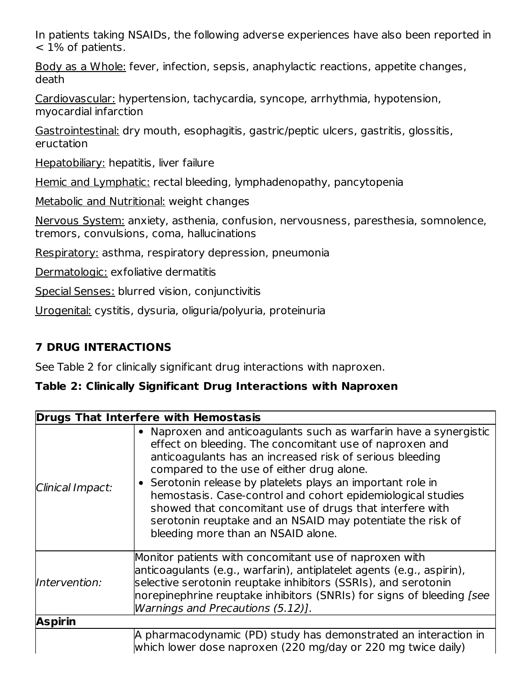In patients taking NSAIDs, the following adverse experiences have also been reported in < 1% of patients.

Body as a Whole: fever, infection, sepsis, anaphylactic reactions, appetite changes, death

Cardiovascular: hypertension, tachycardia, syncope, arrhythmia, hypotension, myocardial infarction

Gastrointestinal: dry mouth, esophagitis, gastric/peptic ulcers, gastritis, glossitis, eructation

Hepatobiliary: hepatitis, liver failure

Hemic and Lymphatic: rectal bleeding, lymphadenopathy, pancytopenia

Metabolic and Nutritional: weight changes

Nervous System: anxiety, asthenia, confusion, nervousness, paresthesia, somnolence, tremors, convulsions, coma, hallucinations

Respiratory: asthma, respiratory depression, pneumonia

Dermatologic: exfoliative dermatitis

Special Senses: blurred vision, conjunctivitis

Urogenital: cystitis, dysuria, oliguria/polyuria, proteinuria

### **7 DRUG INTERACTIONS**

See Table 2 for clinically significant drug interactions with naproxen.

### **Table 2: Clinically Significant Drug Interactions with Naproxen**

| <b>Drugs That Interfere with Hemostasis</b> |                                                                                                                                                                                                                                                                                                                                                                                                                                                                                                                                     |  |
|---------------------------------------------|-------------------------------------------------------------------------------------------------------------------------------------------------------------------------------------------------------------------------------------------------------------------------------------------------------------------------------------------------------------------------------------------------------------------------------------------------------------------------------------------------------------------------------------|--|
| Clinical Impact:                            | • Naproxen and anticoagulants such as warfarin have a synergistic<br>effect on bleeding. The concomitant use of naproxen and<br>anticoagulants has an increased risk of serious bleeding<br>compared to the use of either drug alone.<br>• Serotonin release by platelets plays an important role in<br>hemostasis. Case-control and cohort epidemiological studies<br>showed that concomitant use of drugs that interfere with<br>serotonin reuptake and an NSAID may potentiate the risk of<br>bleeding more than an NSAID alone. |  |
| Intervention:                               | Monitor patients with concomitant use of naproxen with<br>anticoagulants (e.g., warfarin), antiplatelet agents (e.g., aspirin),<br>selective serotonin reuptake inhibitors (SSRIs), and serotonin<br>norepinephrine reuptake inhibitors (SNRIs) for signs of bleeding [see<br>Warnings and Precautions (5.12)].                                                                                                                                                                                                                     |  |
| <b>Aspirin</b>                              |                                                                                                                                                                                                                                                                                                                                                                                                                                                                                                                                     |  |
|                                             | A pharmacodynamic (PD) study has demonstrated an interaction in<br>which lower dose naproxen (220 mg/day or 220 mg twice daily)                                                                                                                                                                                                                                                                                                                                                                                                     |  |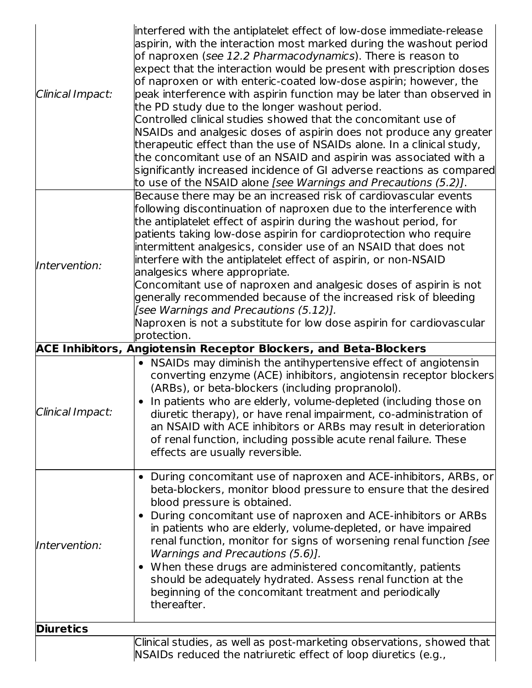| Clinical Impact: | interfered with the antiplatelet effect of low-dose immediate-release<br>aspirin, with the interaction most marked during the washout period<br>of naproxen (see 12.2 Pharmacodynamics). There is reason to<br>expect that the interaction would be present with prescription doses<br>of naproxen or with enteric-coated low-dose aspirin; however, the<br>peak interference with aspirin function may be later than observed in<br>the PD study due to the longer washout period.<br>Controlled clinical studies showed that the concomitant use of<br>NSAIDs and analgesic doses of aspirin does not produce any greater<br>therapeutic effect than the use of NSAIDs alone. In a clinical study,<br>the concomitant use of an NSAID and aspirin was associated with a<br>significantly increased incidence of GI adverse reactions as compared<br>to use of the NSAID alone [see Warnings and Precautions (5.2)]. |
|------------------|-----------------------------------------------------------------------------------------------------------------------------------------------------------------------------------------------------------------------------------------------------------------------------------------------------------------------------------------------------------------------------------------------------------------------------------------------------------------------------------------------------------------------------------------------------------------------------------------------------------------------------------------------------------------------------------------------------------------------------------------------------------------------------------------------------------------------------------------------------------------------------------------------------------------------|
| Intervention:    | Because there may be an increased risk of cardiovascular events<br>following discontinuation of naproxen due to the interference with<br>the antiplatelet effect of aspirin during the washout period, for<br>patients taking low-dose aspirin for cardioprotection who require<br>intermittent analgesics, consider use of an NSAID that does not<br>interfere with the antiplatelet effect of aspirin, or non-NSAID<br>analgesics where appropriate.<br>Concomitant use of naproxen and analgesic doses of aspirin is not<br>generally recommended because of the increased risk of bleeding<br>[see Warnings and Precautions (5.12)].<br>Naproxen is not a substitute for low dose aspirin for cardiovascular<br>protection.                                                                                                                                                                                       |
|                  | <b>ACE Inhibitors, Angiotensin Receptor Blockers, and Beta-Blockers</b>                                                                                                                                                                                                                                                                                                                                                                                                                                                                                                                                                                                                                                                                                                                                                                                                                                               |
| Clinical Impact: | • NSAIDs may diminish the antihypertensive effect of angiotensin<br>converting enzyme (ACE) inhibitors, angiotensin receptor blockers<br>(ARBs), or beta-blockers (including propranolol).<br>In patients who are elderly, volume-depleted (including those on<br>diuretic therapy), or have renal impairment, co-administration of<br>an NSAID with ACE inhibitors or ARBs may result in deterioration<br>of renal function, including possible acute renal failure. These<br>effects are usually reversible.                                                                                                                                                                                                                                                                                                                                                                                                        |
| Intervention:    | During concomitant use of naproxen and ACE-inhibitors, ARBs, or<br>beta-blockers, monitor blood pressure to ensure that the desired<br>blood pressure is obtained.<br>During concomitant use of naproxen and ACE-inhibitors or ARBs<br>$\bullet$<br>in patients who are elderly, volume-depleted, or have impaired<br>renal function, monitor for signs of worsening renal function [see<br>Warnings and Precautions (5.6)].<br>When these drugs are administered concomitantly, patients<br>should be adequately hydrated. Assess renal function at the<br>beginning of the concomitant treatment and periodically<br>thereafter.                                                                                                                                                                                                                                                                                    |
| <b>Diuretics</b> |                                                                                                                                                                                                                                                                                                                                                                                                                                                                                                                                                                                                                                                                                                                                                                                                                                                                                                                       |
|                  | Clinical studies, as well as post-marketing observations, showed that<br>NSAIDs reduced the natriuretic effect of loop diuretics (e.g.,                                                                                                                                                                                                                                                                                                                                                                                                                                                                                                                                                                                                                                                                                                                                                                               |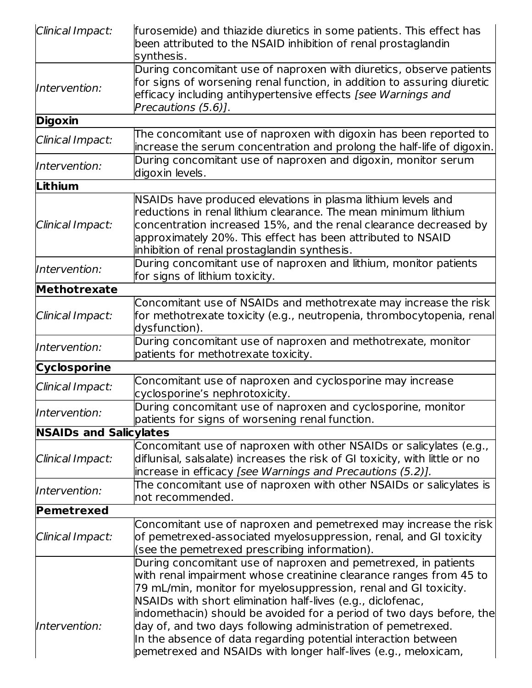| Clinical Impact:              | furosemide) and thiazide diuretics in some patients. This effect has<br>been attributed to the NSAID inhibition of renal prostaglandin<br>synthesis.                                                                                                                                                                                                                                                                                                                                                                                               |
|-------------------------------|----------------------------------------------------------------------------------------------------------------------------------------------------------------------------------------------------------------------------------------------------------------------------------------------------------------------------------------------------------------------------------------------------------------------------------------------------------------------------------------------------------------------------------------------------|
| Intervention:                 | During concomitant use of naproxen with diuretics, observe patients<br>for signs of worsening renal function, in addition to assuring diuretic<br>efficacy including antihypertensive effects [see Warnings and<br>Precautions (5.6)].                                                                                                                                                                                                                                                                                                             |
| <b>Digoxin</b>                |                                                                                                                                                                                                                                                                                                                                                                                                                                                                                                                                                    |
| Clinical Impact:              | The concomitant use of naproxen with digoxin has been reported to<br>increase the serum concentration and prolong the half-life of digoxin.                                                                                                                                                                                                                                                                                                                                                                                                        |
| Intervention:                 | During concomitant use of naproxen and digoxin, monitor serum<br>digoxin levels.                                                                                                                                                                                                                                                                                                                                                                                                                                                                   |
| Lithium                       |                                                                                                                                                                                                                                                                                                                                                                                                                                                                                                                                                    |
| Clinical Impact:              | NSAIDs have produced elevations in plasma lithium levels and<br>reductions in renal lithium clearance. The mean minimum lithium<br>concentration increased 15%, and the renal clearance decreased by<br>approximately 20%. This effect has been attributed to NSAID<br>inhibition of renal prostaglandin synthesis.                                                                                                                                                                                                                                |
| Intervention:                 | During concomitant use of naproxen and lithium, monitor patients<br>for signs of lithium toxicity.                                                                                                                                                                                                                                                                                                                                                                                                                                                 |
| Methotrexate                  |                                                                                                                                                                                                                                                                                                                                                                                                                                                                                                                                                    |
| Clinical Impact:              | Concomitant use of NSAIDs and methotrexate may increase the risk<br>for methotrexate toxicity (e.g., neutropenia, thrombocytopenia, renal<br>dysfunction).                                                                                                                                                                                                                                                                                                                                                                                         |
| Intervention:                 | During concomitant use of naproxen and methotrexate, monitor<br>patients for methotrexate toxicity.                                                                                                                                                                                                                                                                                                                                                                                                                                                |
| Cyclosporine                  |                                                                                                                                                                                                                                                                                                                                                                                                                                                                                                                                                    |
| Clinical Impact:              | Concomitant use of naproxen and cyclosporine may increase<br>cyclosporine's nephrotoxicity.                                                                                                                                                                                                                                                                                                                                                                                                                                                        |
| Intervention:                 | During concomitant use of naproxen and cyclosporine, monitor<br>patients for signs of worsening renal function.                                                                                                                                                                                                                                                                                                                                                                                                                                    |
| <b>NSAIDs and Salicylates</b> |                                                                                                                                                                                                                                                                                                                                                                                                                                                                                                                                                    |
| Clinical Impact:              | Concomitant use of naproxen with other NSAIDs or salicylates (e.g.,<br>diflunisal, salsalate) increases the risk of GI toxicity, with little or no<br>increase in efficacy [see Warnings and Precautions (5.2)].                                                                                                                                                                                                                                                                                                                                   |
| Intervention:                 | The concomitant use of naproxen with other NSAIDs or salicylates is<br>not recommended.                                                                                                                                                                                                                                                                                                                                                                                                                                                            |
| Pemetrexed                    |                                                                                                                                                                                                                                                                                                                                                                                                                                                                                                                                                    |
| <b>Clinical Impact:</b>       | Concomitant use of naproxen and pemetrexed may increase the risk<br>of pemetrexed-associated myelosuppression, renal, and GI toxicity<br>(see the pemetrexed prescribing information).                                                                                                                                                                                                                                                                                                                                                             |
| Intervention:                 | During concomitant use of naproxen and pemetrexed, in patients<br>with renal impairment whose creatinine clearance ranges from 45 to<br>79 mL/min, monitor for myelosuppression, renal and GI toxicity.<br>NSAIDs with short elimination half-lives (e.g., diclofenac,<br>indomethacin) should be avoided for a period of two days before, the<br>day of, and two days following administration of pemetrexed.<br>In the absence of data regarding potential interaction between<br>pemetrexed and NSAIDs with longer half-lives (e.g., meloxicam, |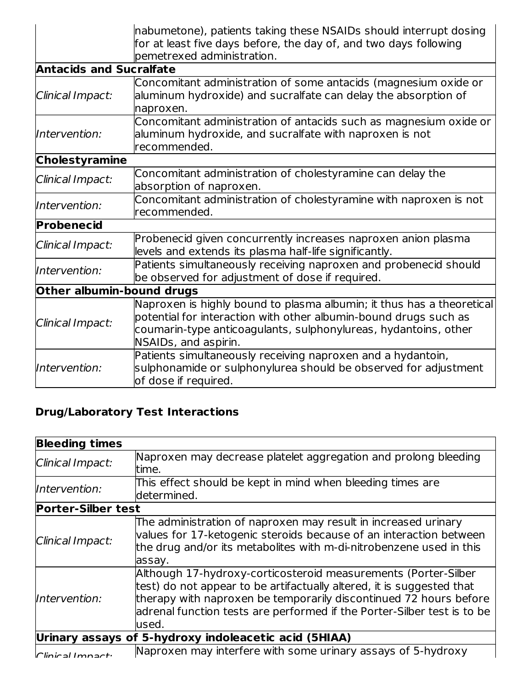|                                | nabumetone), patients taking these NSAIDs should interrupt dosing                                                                                                                                                                    |  |  |
|--------------------------------|--------------------------------------------------------------------------------------------------------------------------------------------------------------------------------------------------------------------------------------|--|--|
|                                | for at least five days before, the day of, and two days following                                                                                                                                                                    |  |  |
|                                | pemetrexed administration.                                                                                                                                                                                                           |  |  |
| <b>Antacids and Sucralfate</b> |                                                                                                                                                                                                                                      |  |  |
| Clinical Impact:               | Concomitant administration of some antacids (magnesium oxide or<br>aluminum hydroxide) and sucralfate can delay the absorption of<br>naproxen.                                                                                       |  |  |
| Intervention:                  | Concomitant administration of antacids such as magnesium oxide or<br>aluminum hydroxide, and sucralfate with naproxen is not<br>recommended.                                                                                         |  |  |
| <b>Cholestyramine</b>          |                                                                                                                                                                                                                                      |  |  |
| Clinical Impact:               | Concomitant administration of cholestyramine can delay the<br>absorption of naproxen.                                                                                                                                                |  |  |
| Intervention:                  | Concomitant administration of cholestyramine with naproxen is not<br>recommended.                                                                                                                                                    |  |  |
| Probenecid                     |                                                                                                                                                                                                                                      |  |  |
| Clinical Impact:               | Probenecid given concurrently increases naproxen anion plasma<br>levels and extends its plasma half-life significantly.                                                                                                              |  |  |
| Intervention:                  | Patients simultaneously receiving naproxen and probenecid should<br>be observed for adjustment of dose if required.                                                                                                                  |  |  |
| Other albumin-bound drugs      |                                                                                                                                                                                                                                      |  |  |
| Clinical Impact:               | Naproxen is highly bound to plasma albumin; it thus has a theoretical<br>potential for interaction with other albumin-bound drugs such as<br>coumarin-type anticoagulants, sulphonylureas, hydantoins, other<br>NSAIDs, and aspirin. |  |  |
| Intervention:                  | Patients simultaneously receiving naproxen and a hydantoin,<br>sulphonamide or sulphonylurea should be observed for adjustment<br>of dose if required.                                                                               |  |  |

# **Drug/Laboratory Test Interactions**

| <b>Bleeding times</b>     |                                                                                                                                                                                                                                                                                                   |
|---------------------------|---------------------------------------------------------------------------------------------------------------------------------------------------------------------------------------------------------------------------------------------------------------------------------------------------|
| Clinical Impact:          | Naproxen may decrease platelet aggregation and prolong bleeding<br>time.                                                                                                                                                                                                                          |
| Intervention:             | This effect should be kept in mind when bleeding times are<br>determined.                                                                                                                                                                                                                         |
| <b>Porter-Silber test</b> |                                                                                                                                                                                                                                                                                                   |
| Clinical Impact:          | The administration of naproxen may result in increased urinary<br>values for 17-ketogenic steroids because of an interaction between<br>the drug and/or its metabolites with m-di-nitrobenzene used in this<br>assay.                                                                             |
| Intervention:             | Although 17-hydroxy-corticosteroid measurements (Porter-Silber<br>test) do not appear to be artifactually altered, it is suggested that<br>therapy with naproxen be temporarily discontinued 72 hours before<br>adrenal function tests are performed if the Porter-Silber test is to be<br>lused. |
|                           | Urinary assays of 5-hydroxy indoleacetic acid (5HIAA)                                                                                                                                                                                                                                             |
| $C$ linical Imnacti       | Naproxen may interfere with some urinary assays of 5-hydroxy                                                                                                                                                                                                                                      |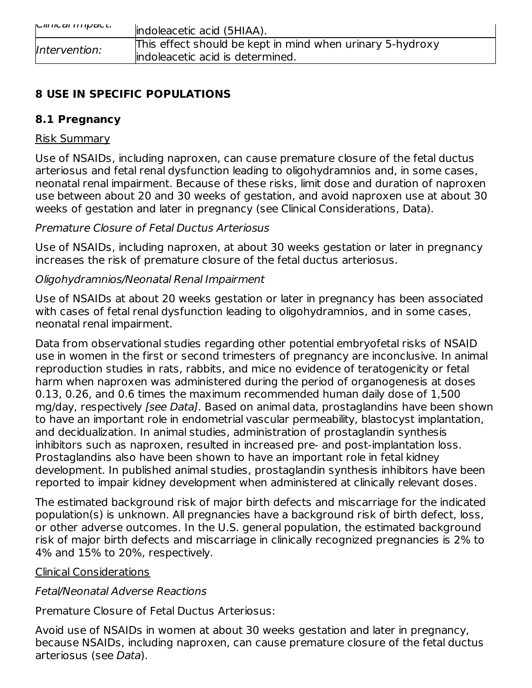| ווווונסו ווווטסנג. | indoleacetic acid (5HIAA).                                |
|--------------------|-----------------------------------------------------------|
| Intervention:      | This effect should be kept in mind when urinary 5-hydroxy |
|                    | lindoleacetic acid is determined.                         |

### **8 USE IN SPECIFIC POPULATIONS**

### **8.1 Pregnancy**

### Risk Summary

Use of NSAIDs, including naproxen, can cause premature closure of the fetal ductus arteriosus and fetal renal dysfunction leading to oligohydramnios and, in some cases, neonatal renal impairment. Because of these risks, limit dose and duration of naproxen use between about 20 and 30 weeks of gestation, and avoid naproxen use at about 30 weeks of gestation and later in pregnancy (see Clinical Considerations, Data).

### Premature Closure of Fetal Ductus Arteriosus

Use of NSAIDs, including naproxen, at about 30 weeks gestation or later in pregnancy increases the risk of premature closure of the fetal ductus arteriosus.

### Oligohydramnios/Neonatal Renal Impairment

Use of NSAIDs at about 20 weeks gestation or later in pregnancy has been associated with cases of fetal renal dysfunction leading to oligohydramnios, and in some cases, neonatal renal impairment.

Data from observational studies regarding other potential embryofetal risks of NSAID use in women in the first or second trimesters of pregnancy are inconclusive. In animal reproduction studies in rats, rabbits, and mice no evidence of teratogenicity or fetal harm when naproxen was administered during the period of organogenesis at doses 0.13, 0.26, and 0.6 times the maximum recommended human daily dose of 1,500 mg/day, respectively [see Data]. Based on animal data, prostaglandins have been shown to have an important role in endometrial vascular permeability, blastocyst implantation, and decidualization. In animal studies, administration of prostaglandin synthesis inhibitors such as naproxen, resulted in increased pre- and post-implantation loss. Prostaglandins also have been shown to have an important role in fetal kidney development. In published animal studies, prostaglandin synthesis inhibitors have been reported to impair kidney development when administered at clinically relevant doses.

The estimated background risk of major birth defects and miscarriage for the indicated population(s) is unknown. All pregnancies have a background risk of birth defect, loss, or other adverse outcomes. In the U.S. general population, the estimated background risk of major birth defects and miscarriage in clinically recognized pregnancies is 2% to 4% and 15% to 20%, respectively.

### Clinical Considerations

### Fetal/Neonatal Adverse Reactions

Premature Closure of Fetal Ductus Arteriosus:

Avoid use of NSAIDs in women at about 30 weeks gestation and later in pregnancy, because NSAIDs, including naproxen, can cause premature closure of the fetal ductus arteriosus (see Data).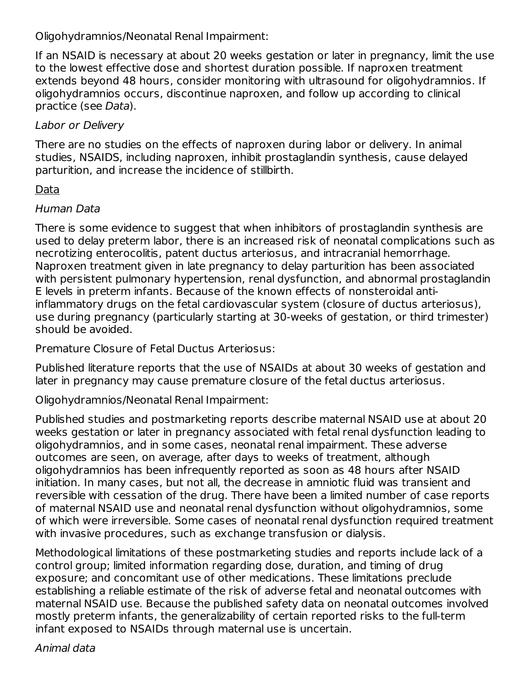Oligohydramnios/Neonatal Renal Impairment:

If an NSAID is necessary at about 20 weeks gestation or later in pregnancy, limit the use to the lowest effective dose and shortest duration possible. If naproxen treatment extends beyond 48 hours, consider monitoring with ultrasound for oligohydramnios. If oligohydramnios occurs, discontinue naproxen, and follow up according to clinical practice (see Data).

### Labor or Delivery

There are no studies on the effects of naproxen during labor or delivery. In animal studies, NSAIDS, including naproxen, inhibit prostaglandin synthesis, cause delayed parturition, and increase the incidence of stillbirth.

### Data

### Human Data

There is some evidence to suggest that when inhibitors of prostaglandin synthesis are used to delay preterm labor, there is an increased risk of neonatal complications such as necrotizing enterocolitis, patent ductus arteriosus, and intracranial hemorrhage. Naproxen treatment given in late pregnancy to delay parturition has been associated with persistent pulmonary hypertension, renal dysfunction, and abnormal prostaglandin E levels in preterm infants. Because of the known effects of nonsteroidal antiinflammatory drugs on the fetal cardiovascular system (closure of ductus arteriosus), use during pregnancy (particularly starting at 30-weeks of gestation, or third trimester) should be avoided.

Premature Closure of Fetal Ductus Arteriosus:

Published literature reports that the use of NSAIDs at about 30 weeks of gestation and later in pregnancy may cause premature closure of the fetal ductus arteriosus.

Oligohydramnios/Neonatal Renal Impairment:

Published studies and postmarketing reports describe maternal NSAID use at about 20 weeks gestation or later in pregnancy associated with fetal renal dysfunction leading to oligohydramnios, and in some cases, neonatal renal impairment. These adverse outcomes are seen, on average, after days to weeks of treatment, although oligohydramnios has been infrequently reported as soon as 48 hours after NSAID initiation. In many cases, but not all, the decrease in amniotic fluid was transient and reversible with cessation of the drug. There have been a limited number of case reports of maternal NSAID use and neonatal renal dysfunction without oligohydramnios, some of which were irreversible. Some cases of neonatal renal dysfunction required treatment with invasive procedures, such as exchange transfusion or dialysis.

Methodological limitations of these postmarketing studies and reports include lack of a control group; limited information regarding dose, duration, and timing of drug exposure; and concomitant use of other medications. These limitations preclude establishing a reliable estimate of the risk of adverse fetal and neonatal outcomes with maternal NSAID use. Because the published safety data on neonatal outcomes involved mostly preterm infants, the generalizability of certain reported risks to the full-term infant exposed to NSAIDs through maternal use is uncertain.

Animal data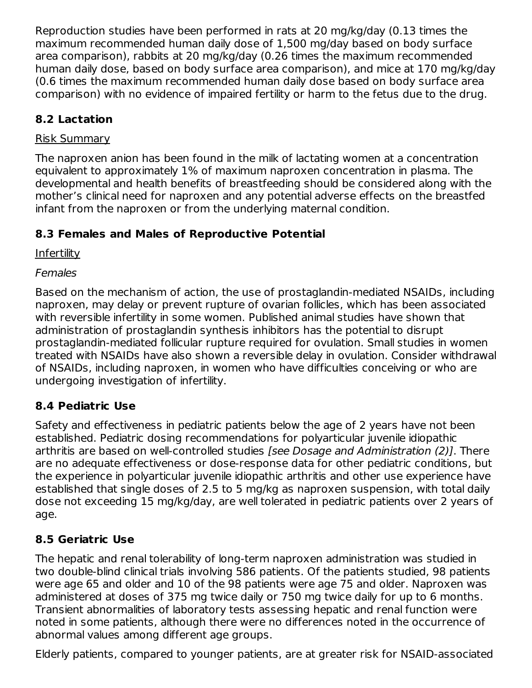Reproduction studies have been performed in rats at 20 mg/kg/day (0.13 times the maximum recommended human daily dose of 1,500 mg/day based on body surface area comparison), rabbits at 20 mg/kg/day (0.26 times the maximum recommended human daily dose, based on body surface area comparison), and mice at 170 mg/kg/day (0.6 times the maximum recommended human daily dose based on body surface area comparison) with no evidence of impaired fertility or harm to the fetus due to the drug.

### **8.2 Lactation**

### Risk Summary

The naproxen anion has been found in the milk of lactating women at a concentration equivalent to approximately 1% of maximum naproxen concentration in plasma. The developmental and health benefits of breastfeeding should be considered along with the mother's clinical need for naproxen and any potential adverse effects on the breastfed infant from the naproxen or from the underlying maternal condition.

# **8.3 Females and Males of Reproductive Potential**

Infertility

### Females

Based on the mechanism of action, the use of prostaglandin-mediated NSAIDs, including naproxen, may delay or prevent rupture of ovarian follicles, which has been associated with reversible infertility in some women. Published animal studies have shown that administration of prostaglandin synthesis inhibitors has the potential to disrupt prostaglandin-mediated follicular rupture required for ovulation. Small studies in women treated with NSAIDs have also shown a reversible delay in ovulation. Consider withdrawal of NSAIDs, including naproxen, in women who have difficulties conceiving or who are undergoing investigation of infertility.

# **8.4 Pediatric Use**

Safety and effectiveness in pediatric patients below the age of 2 years have not been established. Pediatric dosing recommendations for polyarticular juvenile idiopathic arthritis are based on well-controlled studies *[see Dosage and Administration (2)]*. There are no adequate effectiveness or dose-response data for other pediatric conditions, but the experience in polyarticular juvenile idiopathic arthritis and other use experience have established that single doses of 2.5 to 5 mg/kg as naproxen suspension, with total daily dose not exceeding 15 mg/kg/day, are well tolerated in pediatric patients over 2 years of age.

# **8.5 Geriatric Use**

The hepatic and renal tolerability of long-term naproxen administration was studied in two double-blind clinical trials involving 586 patients. Of the patients studied, 98 patients were age 65 and older and 10 of the 98 patients were age 75 and older. Naproxen was administered at doses of 375 mg twice daily or 750 mg twice daily for up to 6 months. Transient abnormalities of laboratory tests assessing hepatic and renal function were noted in some patients, although there were no differences noted in the occurrence of abnormal values among different age groups.

Elderly patients, compared to younger patients, are at greater risk for NSAID-associated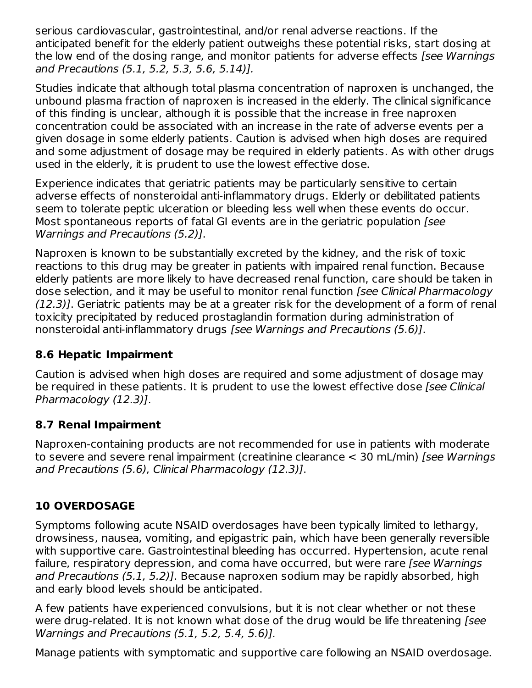serious cardiovascular, gastrointestinal, and/or renal adverse reactions. If the anticipated benefit for the elderly patient outweighs these potential risks, start dosing at the low end of the dosing range, and monitor patients for adverse effects *[see Warnings* and Precautions (5.1, 5.2, 5.3, 5.6, 5.14)].

Studies indicate that although total plasma concentration of naproxen is unchanged, the unbound plasma fraction of naproxen is increased in the elderly. The clinical significance of this finding is unclear, although it is possible that the increase in free naproxen concentration could be associated with an increase in the rate of adverse events per a given dosage in some elderly patients. Caution is advised when high doses are required and some adjustment of dosage may be required in elderly patients. As with other drugs used in the elderly, it is prudent to use the lowest effective dose.

Experience indicates that geriatric patients may be particularly sensitive to certain adverse effects of nonsteroidal anti-inflammatory drugs. Elderly or debilitated patients seem to tolerate peptic ulceration or bleeding less well when these events do occur. Most spontaneous reports of fatal GI events are in the geriatric population [see Warnings and Precautions (5.2)].

Naproxen is known to be substantially excreted by the kidney, and the risk of toxic reactions to this drug may be greater in patients with impaired renal function. Because elderly patients are more likely to have decreased renal function, care should be taken in dose selection, and it may be useful to monitor renal function *[see Clinical Pharmacology* (12.3)]. Geriatric patients may be at a greater risk for the development of a form of renal toxicity precipitated by reduced prostaglandin formation during administration of nonsteroidal anti-inflammatory drugs [see Warnings and Precautions (5.6)].

### **8.6 Hepatic Impairment**

Caution is advised when high doses are required and some adjustment of dosage may be required in these patients. It is prudent to use the lowest effective dose [see Clinical Pharmacology (12.3)].

### **8.7 Renal Impairment**

Naproxen-containing products are not recommended for use in patients with moderate to severe and severe renal impairment (creatinine clearance < 30 mL/min) [see Warnings and Precautions (5.6), Clinical Pharmacology (12.3)].

# **10 OVERDOSAGE**

Symptoms following acute NSAID overdosages have been typically limited to lethargy, drowsiness, nausea, vomiting, and epigastric pain, which have been generally reversible with supportive care. Gastrointestinal bleeding has occurred. Hypertension, acute renal failure, respiratory depression, and coma have occurred, but were rare [see Warnings] and Precautions (5.1, 5.2)]. Because naproxen sodium may be rapidly absorbed, high and early blood levels should be anticipated.

A few patients have experienced convulsions, but it is not clear whether or not these were drug-related. It is not known what dose of the drug would be life threatening [see Warnings and Precautions (5.1, 5.2, 5.4, 5.6)].

Manage patients with symptomatic and supportive care following an NSAID overdosage.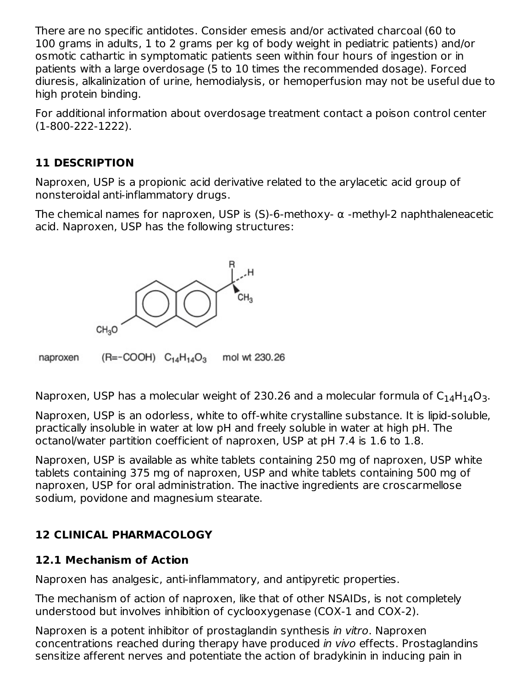There are no specific antidotes. Consider emesis and/or activated charcoal (60 to 100 grams in adults, 1 to 2 grams per kg of body weight in pediatric patients) and/or osmotic cathartic in symptomatic patients seen within four hours of ingestion or in patients with a large overdosage (5 to 10 times the recommended dosage). Forced diuresis, alkalinization of urine, hemodialysis, or hemoperfusion may not be useful due to high protein binding.

For additional information about overdosage treatment contact a poison control center (1-800-222-1222).

### **11 DESCRIPTION**

Naproxen, USP is a propionic acid derivative related to the arylacetic acid group of nonsteroidal anti-inflammatory drugs.

The chemical names for naproxen, USP is (S)-6-methoxy- α -methyl-2 naphthaleneacetic acid. Naproxen, USP has the following structures:



 $(R=-COOH)$   $C_{14}H_{14}O_3$ mol wt 230.26 naproxen

Naproxen, USP has a molecular weight of 230.26 and a molecular formula of  $\rm{C_{14}H_{14}O_3.}$ 

Naproxen, USP is an odorless, white to off-white crystalline substance. It is lipid-soluble, practically insoluble in water at low pH and freely soluble in water at high pH. The octanol/water partition coefficient of naproxen, USP at pH 7.4 is 1.6 to 1.8.

Naproxen, USP is available as white tablets containing 250 mg of naproxen, USP white tablets containing 375 mg of naproxen, USP and white tablets containing 500 mg of naproxen, USP for oral administration. The inactive ingredients are croscarmellose sodium, povidone and magnesium stearate.

### **12 CLINICAL PHARMACOLOGY**

### **12.1 Mechanism of Action**

Naproxen has analgesic, anti-inflammatory, and antipyretic properties.

The mechanism of action of naproxen, like that of other NSAIDs, is not completely understood but involves inhibition of cyclooxygenase (COX-1 and COX-2).

Naproxen is a potent inhibitor of prostaglandin synthesis in vitro. Naproxen concentrations reached during therapy have produced in vivo effects. Prostaglandins sensitize afferent nerves and potentiate the action of bradykinin in inducing pain in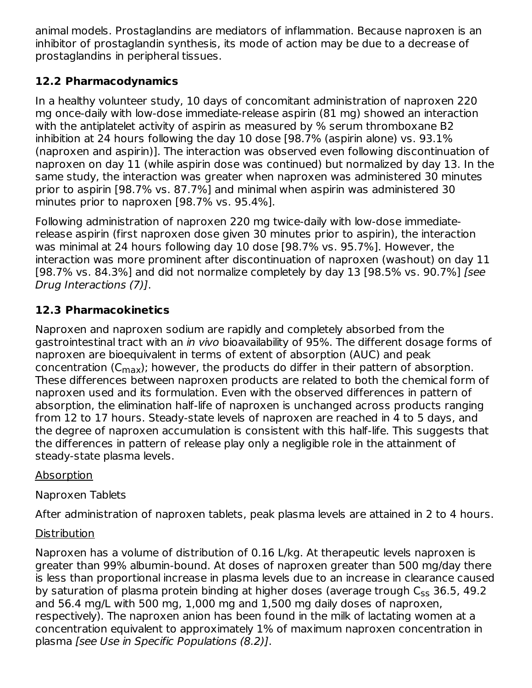animal models. Prostaglandins are mediators of inflammation. Because naproxen is an inhibitor of prostaglandin synthesis, its mode of action may be due to a decrease of prostaglandins in peripheral tissues.

### **12.2 Pharmacodynamics**

In a healthy volunteer study, 10 days of concomitant administration of naproxen 220 mg once-daily with low-dose immediate-release aspirin (81 mg) showed an interaction with the antiplatelet activity of aspirin as measured by % serum thromboxane B2 inhibition at 24 hours following the day 10 dose [98.7% (aspirin alone) vs. 93.1% (naproxen and aspirin)]. The interaction was observed even following discontinuation of naproxen on day 11 (while aspirin dose was continued) but normalized by day 13. In the same study, the interaction was greater when naproxen was administered 30 minutes prior to aspirin [98.7% vs. 87.7%] and minimal when aspirin was administered 30 minutes prior to naproxen [98.7% vs. 95.4%].

Following administration of naproxen 220 mg twice-daily with low-dose immediaterelease aspirin (first naproxen dose given 30 minutes prior to aspirin), the interaction was minimal at 24 hours following day 10 dose [98.7% vs. 95.7%]. However, the interaction was more prominent after discontinuation of naproxen (washout) on day 11 [98.7% vs. 84.3%] and did not normalize completely by day 13 [98.5% vs. 90.7%] [see Drug Interactions (7)].

# **12.3 Pharmacokinetics**

Naproxen and naproxen sodium are rapidly and completely absorbed from the gastrointestinal tract with an in vivo bioavailability of 95%. The different dosage forms of naproxen are bioequivalent in terms of extent of absorption (AUC) and peak concentration (C<sub>max</sub>); however, the products do differ in their pattern of absorption. These differences between naproxen products are related to both the chemical form of naproxen used and its formulation. Even with the observed differences in pattern of absorption, the elimination half-life of naproxen is unchanged across products ranging from 12 to 17 hours. Steady-state levels of naproxen are reached in 4 to 5 days, and the degree of naproxen accumulation is consistent with this half-life. This suggests that the differences in pattern of release play only a negligible role in the attainment of steady-state plasma levels.

### Absorption

# Naproxen Tablets

After administration of naproxen tablets, peak plasma levels are attained in 2 to 4 hours.

# **Distribution**

Naproxen has a volume of distribution of 0.16 L/kg. At therapeutic levels naproxen is greater than 99% albumin-bound. At doses of naproxen greater than 500 mg/day there is less than proportional increase in plasma levels due to an increase in clearance caused by saturation of plasma protein binding at higher doses (average trough C<sub>ss</sub> 36.5, 49.2 and 56.4 mg/L with 500 mg, 1,000 mg and 1,500 mg daily doses of naproxen, respectively). The naproxen anion has been found in the milk of lactating women at a concentration equivalent to approximately 1% of maximum naproxen concentration in plasma [see Use in Specific Populations (8.2)].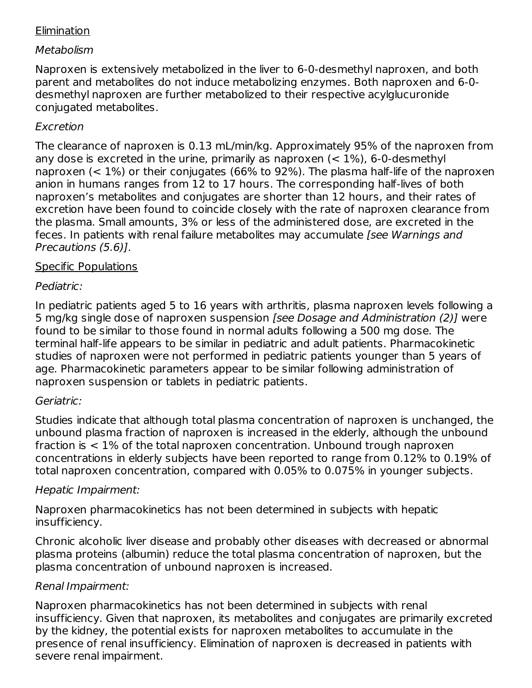### Elimination

### Metabolism

Naproxen is extensively metabolized in the liver to 6-0-desmethyl naproxen, and both parent and metabolites do not induce metabolizing enzymes. Both naproxen and 6-0 desmethyl naproxen are further metabolized to their respective acylglucuronide conjugated metabolites.

### Excretion

The clearance of naproxen is 0.13 mL/min/kg. Approximately 95% of the naproxen from any dose is excreted in the urine, primarily as naproxen  $(< 1\%)$ , 6-0-desmethyl naproxen (< 1%) or their conjugates (66% to 92%). The plasma half-life of the naproxen anion in humans ranges from 12 to 17 hours. The corresponding half-lives of both naproxen's metabolites and conjugates are shorter than 12 hours, and their rates of excretion have been found to coincide closely with the rate of naproxen clearance from the plasma. Small amounts, 3% or less of the administered dose, are excreted in the feces. In patients with renal failure metabolites may accumulate [see Warnings and Precautions (5.6)].

### Specific Populations

### Pediatric:

In pediatric patients aged 5 to 16 years with arthritis, plasma naproxen levels following a 5 mg/kg single dose of naproxen suspension [see Dosage and Administration (2)] were found to be similar to those found in normal adults following a 500 mg dose. The terminal half-life appears to be similar in pediatric and adult patients. Pharmacokinetic studies of naproxen were not performed in pediatric patients younger than 5 years of age. Pharmacokinetic parameters appear to be similar following administration of naproxen suspension or tablets in pediatric patients.

### Geriatric:

Studies indicate that although total plasma concentration of naproxen is unchanged, the unbound plasma fraction of naproxen is increased in the elderly, although the unbound fraction is < 1% of the total naproxen concentration. Unbound trough naproxen concentrations in elderly subjects have been reported to range from 0.12% to 0.19% of total naproxen concentration, compared with 0.05% to 0.075% in younger subjects.

### Hepatic Impairment:

Naproxen pharmacokinetics has not been determined in subjects with hepatic insufficiency.

Chronic alcoholic liver disease and probably other diseases with decreased or abnormal plasma proteins (albumin) reduce the total plasma concentration of naproxen, but the plasma concentration of unbound naproxen is increased.

### Renal Impairment:

Naproxen pharmacokinetics has not been determined in subjects with renal insufficiency. Given that naproxen, its metabolites and conjugates are primarily excreted by the kidney, the potential exists for naproxen metabolites to accumulate in the presence of renal insufficiency. Elimination of naproxen is decreased in patients with severe renal impairment.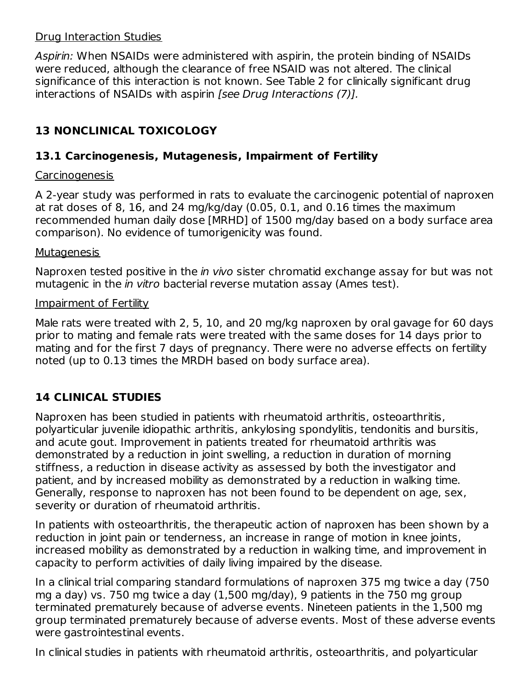#### Drug Interaction Studies

Aspirin: When NSAIDs were administered with aspirin, the protein binding of NSAIDs were reduced, although the clearance of free NSAID was not altered. The clinical significance of this interaction is not known. See Table 2 for clinically significant drug interactions of NSAIDs with aspirin [see Drug Interactions (7)].

### **13 NONCLINICAL TOXICOLOGY**

### **13.1 Carcinogenesis, Mutagenesis, Impairment of Fertility**

#### Carcinogenesis

A 2-year study was performed in rats to evaluate the carcinogenic potential of naproxen at rat doses of 8, 16, and 24 mg/kg/day (0.05, 0.1, and 0.16 times the maximum recommended human daily dose [MRHD] of 1500 mg/day based on a body surface area comparison). No evidence of tumorigenicity was found.

#### Mutagenesis

Naproxen tested positive in the *in vivo* sister chromatid exchange assay for but was not mutagenic in the *in vitro* bacterial reverse mutation assay (Ames test).

#### Impairment of Fertility

Male rats were treated with 2, 5, 10, and 20 mg/kg naproxen by oral gavage for 60 days prior to mating and female rats were treated with the same doses for 14 days prior to mating and for the first 7 days of pregnancy. There were no adverse effects on fertility noted (up to 0.13 times the MRDH based on body surface area).

### **14 CLINICAL STUDIES**

Naproxen has been studied in patients with rheumatoid arthritis, osteoarthritis, polyarticular juvenile idiopathic arthritis, ankylosing spondylitis, tendonitis and bursitis, and acute gout. Improvement in patients treated for rheumatoid arthritis was demonstrated by a reduction in joint swelling, a reduction in duration of morning stiffness, a reduction in disease activity as assessed by both the investigator and patient, and by increased mobility as demonstrated by a reduction in walking time. Generally, response to naproxen has not been found to be dependent on age, sex, severity or duration of rheumatoid arthritis.

In patients with osteoarthritis, the therapeutic action of naproxen has been shown by a reduction in joint pain or tenderness, an increase in range of motion in knee joints, increased mobility as demonstrated by a reduction in walking time, and improvement in capacity to perform activities of daily living impaired by the disease.

In a clinical trial comparing standard formulations of naproxen 375 mg twice a day (750 mg a day) vs. 750 mg twice a day (1,500 mg/day), 9 patients in the 750 mg group terminated prematurely because of adverse events. Nineteen patients in the 1,500 mg group terminated prematurely because of adverse events. Most of these adverse events were gastrointestinal events.

In clinical studies in patients with rheumatoid arthritis, osteoarthritis, and polyarticular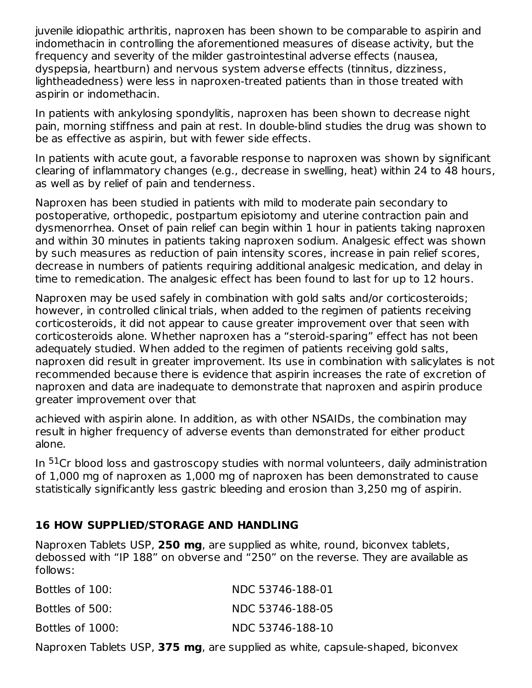juvenile idiopathic arthritis, naproxen has been shown to be comparable to aspirin and indomethacin in controlling the aforementioned measures of disease activity, but the frequency and severity of the milder gastrointestinal adverse effects (nausea, dyspepsia, heartburn) and nervous system adverse effects (tinnitus, dizziness, lightheadedness) were less in naproxen-treated patients than in those treated with aspirin or indomethacin.

In patients with ankylosing spondylitis, naproxen has been shown to decrease night pain, morning stiffness and pain at rest. In double-blind studies the drug was shown to be as effective as aspirin, but with fewer side effects.

In patients with acute gout, a favorable response to naproxen was shown by significant clearing of inflammatory changes (e.g., decrease in swelling, heat) within 24 to 48 hours, as well as by relief of pain and tenderness.

Naproxen has been studied in patients with mild to moderate pain secondary to postoperative, orthopedic, postpartum episiotomy and uterine contraction pain and dysmenorrhea. Onset of pain relief can begin within 1 hour in patients taking naproxen and within 30 minutes in patients taking naproxen sodium. Analgesic effect was shown by such measures as reduction of pain intensity scores, increase in pain relief scores, decrease in numbers of patients requiring additional analgesic medication, and delay in time to remedication. The analgesic effect has been found to last for up to 12 hours.

Naproxen may be used safely in combination with gold salts and/or corticosteroids; however, in controlled clinical trials, when added to the regimen of patients receiving corticosteroids, it did not appear to cause greater improvement over that seen with corticosteroids alone. Whether naproxen has a "steroid-sparing" effect has not been adequately studied. When added to the regimen of patients receiving gold salts, naproxen did result in greater improvement. Its use in combination with salicylates is not recommended because there is evidence that aspirin increases the rate of excretion of naproxen and data are inadequate to demonstrate that naproxen and aspirin produce greater improvement over that

achieved with aspirin alone. In addition, as with other NSAIDs, the combination may result in higher frequency of adverse events than demonstrated for either product alone.

In <sup>51</sup>Cr blood loss and gastroscopy studies with normal volunteers, daily administration of 1,000 mg of naproxen as 1,000 mg of naproxen has been demonstrated to cause statistically significantly less gastric bleeding and erosion than 3,250 mg of aspirin.

### **16 HOW SUPPLIED/STORAGE AND HANDLING**

Naproxen Tablets USP, **250 mg**, are supplied as white, round, biconvex tablets, debossed with "IP 188" on obverse and "250" on the reverse. They are available as follows:

| Bottles of 100:  | NDC 53746-188-01 |
|------------------|------------------|
| Bottles of 500:  | NDC 53746-188-05 |
| Bottles of 1000: | NDC 53746-188-10 |

Naproxen Tablets USP, **375 mg**, are supplied as white, capsule-shaped, biconvex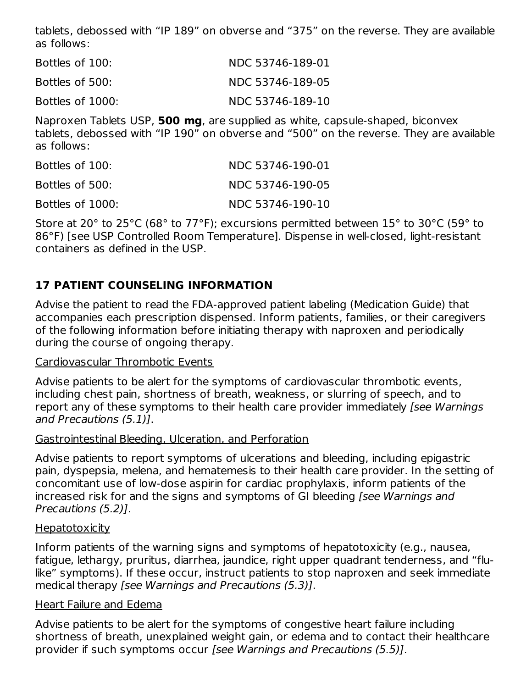tablets, debossed with "IP 189" on obverse and "375" on the reverse. They are available as follows:

| Bottles of 100:  | NDC 53746-189-01 |
|------------------|------------------|
| Bottles of 500:  | NDC 53746-189-05 |
| Bottles of 1000: | NDC 53746-189-10 |

Naproxen Tablets USP, **500 mg**, are supplied as white, capsule-shaped, biconvex tablets, debossed with "IP 190" on obverse and "500" on the reverse. They are available as follows:

| Bottles of 100:  | NDC 53746-190-01 |
|------------------|------------------|
| Bottles of 500:  | NDC 53746-190-05 |
| Bottles of 1000: | NDC 53746-190-10 |

Store at 20° to 25°C (68° to 77°F); excursions permitted between 15° to 30°C (59° to 86°F) [see USP Controlled Room Temperature]. Dispense in well-closed, light-resistant containers as defined in the USP.

### **17 PATIENT COUNSELING INFORMATION**

Advise the patient to read the FDA-approved patient labeling (Medication Guide) that accompanies each prescription dispensed. Inform patients, families, or their caregivers of the following information before initiating therapy with naproxen and periodically during the course of ongoing therapy.

### Cardiovascular Thrombotic Events

Advise patients to be alert for the symptoms of cardiovascular thrombotic events, including chest pain, shortness of breath, weakness, or slurring of speech, and to report any of these symptoms to their health care provider immediately [see Warnings] and Precautions (5.1)].

### Gastrointestinal Bleeding, Ulceration, and Perforation

Advise patients to report symptoms of ulcerations and bleeding, including epigastric pain, dyspepsia, melena, and hematemesis to their health care provider. In the setting of concomitant use of low-dose aspirin for cardiac prophylaxis, inform patients of the increased risk for and the signs and symptoms of GI bleeding [see Warnings and Precautions (5.2)].

### **Hepatotoxicity**

Inform patients of the warning signs and symptoms of hepatotoxicity (e.g., nausea, fatigue, lethargy, pruritus, diarrhea, jaundice, right upper quadrant tenderness, and "flulike" symptoms). If these occur, instruct patients to stop naproxen and seek immediate medical therapy [see Warnings and Precautions (5.3)].

### Heart Failure and Edema

Advise patients to be alert for the symptoms of congestive heart failure including shortness of breath, unexplained weight gain, or edema and to contact their healthcare provider if such symptoms occur [see Warnings and Precautions (5.5)].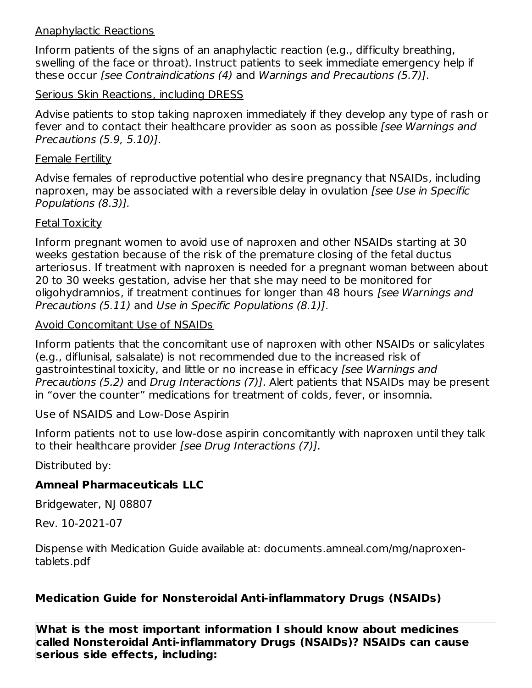#### Anaphylactic Reactions

Inform patients of the signs of an anaphylactic reaction (e.g., difficulty breathing, swelling of the face or throat). Instruct patients to seek immediate emergency help if these occur [see Contraindications (4) and Warnings and Precautions (5.7)].

### Serious Skin Reactions, including DRESS

Advise patients to stop taking naproxen immediately if they develop any type of rash or fever and to contact their healthcare provider as soon as possible [see Warnings and Precautions (5.9, 5.10)].

#### Female Fertility

Advise females of reproductive potential who desire pregnancy that NSAIDs, including naproxen, may be associated with a reversible delay in ovulation [see Use in Specific Populations (8.3)].

### Fetal Toxicity

Inform pregnant women to avoid use of naproxen and other NSAIDs starting at 30 weeks gestation because of the risk of the premature closing of the fetal ductus arteriosus. If treatment with naproxen is needed for a pregnant woman between about 20 to 30 weeks gestation, advise her that she may need to be monitored for oligohydramnios, if treatment continues for longer than 48 hours *[see Warnings and* Precautions (5.11) and Use in Specific Populations (8.1)].

### Avoid Concomitant Use of NSAIDs

Inform patients that the concomitant use of naproxen with other NSAIDs or salicylates (e.g., diflunisal, salsalate) is not recommended due to the increased risk of gastrointestinal toxicity, and little or no increase in efficacy [see Warnings and Precautions (5.2) and Drug Interactions (7)]. Alert patients that NSAIDs may be present in "over the counter" medications for treatment of colds, fever, or insomnia.

### Use of NSAIDS and Low-Dose Aspirin

Inform patients not to use low-dose aspirin concomitantly with naproxen until they talk to their healthcare provider [see Drug Interactions (7)].

Distributed by:

### **Amneal Pharmaceuticals LLC**

Bridgewater, NJ 08807

Rev. 10-2021-07

Dispense with Medication Guide available at: documents.amneal.com/mg/naproxentablets.pdf

### **Medication Guide for Nonsteroidal Anti-inflammatory Drugs (NSAIDs)**

**What is the most important information I should know about medicines called Nonsteroidal Anti-inflammatory Drugs (NSAIDs)? NSAIDs can cause serious side effects, including:**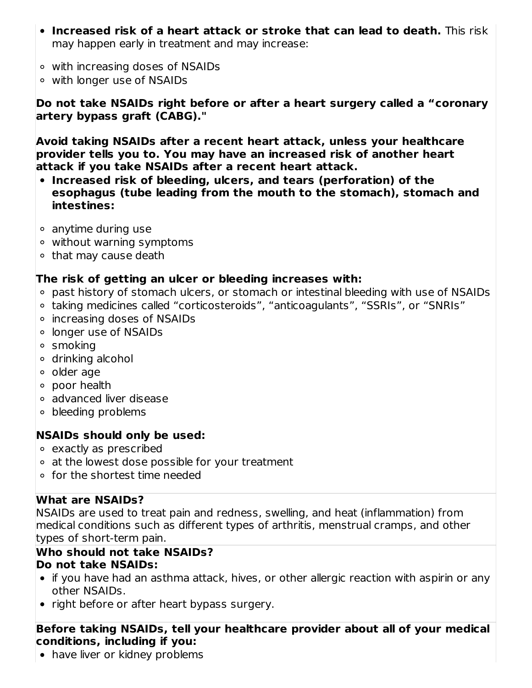- **Increased risk of a heart attack or stroke that can lead to death.** This risk may happen early in treatment and may increase:
- with increasing doses of NSAIDs
- with longer use of NSAIDs

**Do not take NSAIDs right before or after a heart surgery called a "coronary artery bypass graft (CABG)."**

**Avoid taking NSAIDs after a recent heart attack, unless your healthcare provider tells you to. You may have an increased risk of another heart attack if you take NSAIDs after a recent heart attack.**

- **Increased risk of bleeding, ulcers, and tears (perforation) of the esophagus (tube leading from the mouth to the stomach), stomach and intestines:**
- anytime during use
- without warning symptoms
- $\circ$  that may cause death

### **The risk of getting an ulcer or bleeding increases with:**

- past history of stomach ulcers, or stomach or intestinal bleeding with use of NSAIDs
- taking medicines called "corticosteroids", "anticoagulants", "SSRIs", or "SNRIs"
- increasing doses of NSAIDs
- longer use of NSAIDs
- smoking
- drinking alcohol
- older age
- poor health
- advanced liver disease
- bleeding problems

### **NSAIDs should only be used:**

- exactly as prescribed
- at the lowest dose possible for your treatment
- for the shortest time needed

### **What are NSAIDs?**

NSAIDs are used to treat pain and redness, swelling, and heat (inflammation) from medical conditions such as different types of arthritis, menstrual cramps, and other types of short-term pain.

#### **Who should not take NSAIDs? Do not take NSAIDs:**

- if you have had an asthma attack, hives, or other allergic reaction with aspirin or any other NSAIDs.
- right before or after heart bypass surgery.

### **Before taking NSAIDs, tell your healthcare provider about all of your medical conditions, including if you:**

• have liver or kidney problems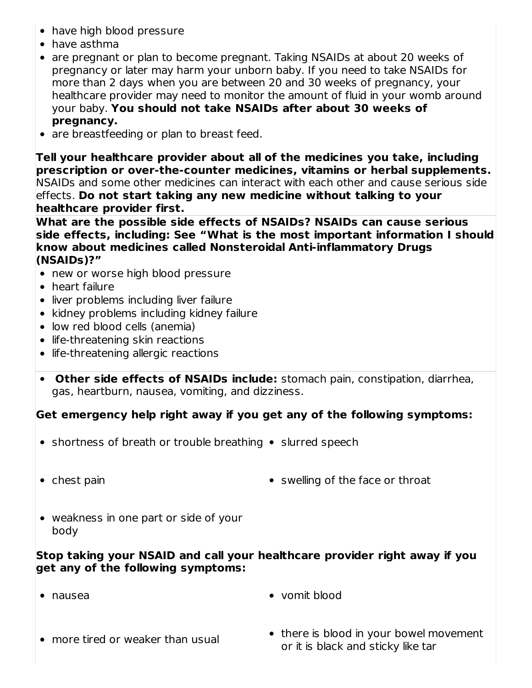- have high blood pressure
- have asthma
- are pregnant or plan to become pregnant. Taking NSAIDs at about 20 weeks of pregnancy or later may harm your unborn baby. If you need to take NSAIDs for more than 2 days when you are between 20 and 30 weeks of pregnancy, your healthcare provider may need to monitor the amount of fluid in your womb around your baby. **You should not take NSAIDs after about 30 weeks of pregnancy.**
- are breastfeeding or plan to breast feed.

**Tell your healthcare provider about all of the medicines you take, including prescription or over-the-counter medicines, vitamins or herbal supplements.** NSAIDs and some other medicines can interact with each other and cause serious side effects. **Do not start taking any new medicine without talking to your healthcare provider first.**

**What are the possible side effects of NSAIDs? NSAIDs can cause serious side effects, including: See "What is the most important information I should know about medicines called Nonsteroidal Anti-inflammatory Drugs (NSAIDs)?"**

- new or worse high blood pressure
- heart failure
- liver problems including liver failure
- kidney problems including kidney failure
- low red blood cells (anemia)
- life-threatening skin reactions
- life-threatening allergic reactions
- **Other side effects of NSAIDs include:** stomach pain, constipation, diarrhea, gas, heartburn, nausea, vomiting, and dizziness.

### **Get emergency help right away if you get any of the following symptoms:**

- $\bullet$  shortness of breath or trouble breathing  $\bullet$  slurred speech
- 
- chest pain swelling of the face or throat
- weakness in one part or side of your body

### **Stop taking your NSAID and call your healthcare provider right away if you get any of the following symptoms:**

- 
- nausea vomit blood
- more tired or weaker than usual
- there is blood in your bowel movement or it is black and sticky like tar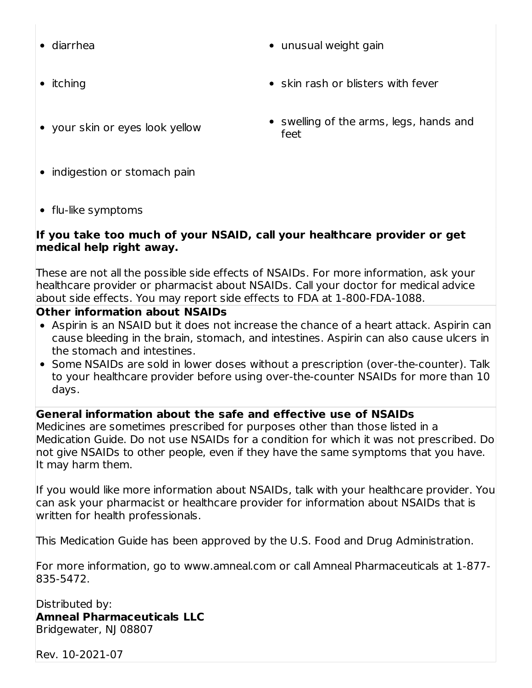- 
- 
- your skin or eyes look yellow
- diarrhea unusual weight gain
- itching skin rash or blisters with fever
	- swelling of the arms, legs, hands and feet

- indigestion or stomach pain
- flu-like symptoms

### **If you take too much of your NSAID, call your healthcare provider or get medical help right away.**

These are not all the possible side effects of NSAIDs. For more information, ask your healthcare provider or pharmacist about NSAIDs. Call your doctor for medical advice about side effects. You may report side effects to FDA at 1-800-FDA-1088.

### **Other information about NSAIDs**

- Aspirin is an NSAID but it does not increase the chance of a heart attack. Aspirin can cause bleeding in the brain, stomach, and intestines. Aspirin can also cause ulcers in the stomach and intestines.
- Some NSAIDs are sold in lower doses without a prescription (over-the-counter). Talk to your healthcare provider before using over-the-counter NSAIDs for more than 10 days.

### **General information about the safe and effective use of NSAIDs**

Medicines are sometimes prescribed for purposes other than those listed in a Medication Guide. Do not use NSAIDs for a condition for which it was not prescribed. Do not give NSAIDs to other people, even if they have the same symptoms that you have. It may harm them.

If you would like more information about NSAIDs, talk with your healthcare provider. You can ask your pharmacist or healthcare provider for information about NSAIDs that is written for health professionals.

This Medication Guide has been approved by the U.S. Food and Drug Administration.

For more information, go to www.amneal.com or call Amneal Pharmaceuticals at 1-877- 835-5472.

Distributed by:

**Amneal Pharmaceuticals LLC** Bridgewater, NJ 08807

Rev. 10-2021-07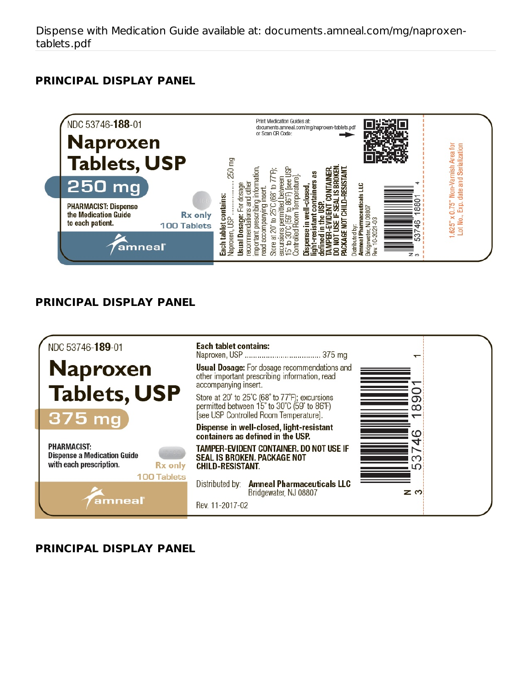### **PRINCIPAL DISPLAY PANEL**



### **PRINCIPAL DISPLAY PANEL**



### **PRINCIPAL DISPLAY PANEL**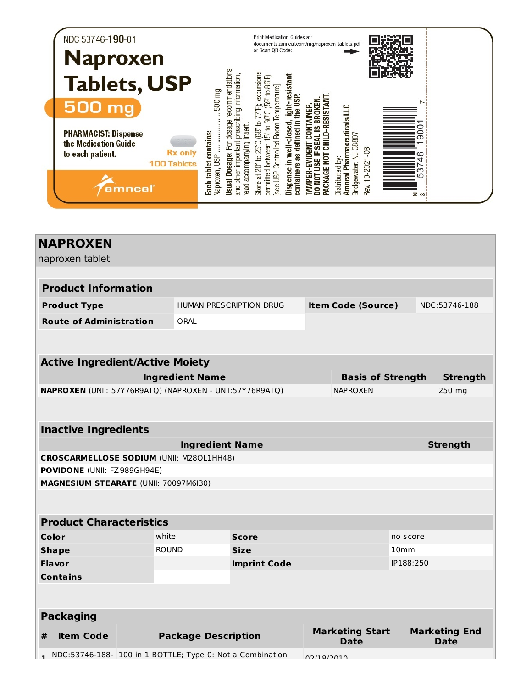| NDC 53746-190-01<br><b>Naproxen</b>                                                                             | Print Medication Guides at:<br>documents.amneal.com/mg/naproxen-tablets.pdf<br>or Scan QR Code:                                                                                                                                                                                                                          |
|-----------------------------------------------------------------------------------------------------------------|--------------------------------------------------------------------------------------------------------------------------------------------------------------------------------------------------------------------------------------------------------------------------------------------------------------------------|
| <b>Tablets, USP</b><br><b>500 mg</b>                                                                            | recommendations<br>F); excursions<br>resistant<br>prescribing information<br>(59° to 86°F)<br>emperature<br>500 mg<br>ESISTAN<br>∼                                                                                                                                                                                       |
| <b>PHARMACIST: Dispense</b><br>the Medication Guide<br><b>Rx only</b><br>to each patient.<br><b>100 Tablets</b> | Amneal Pharmaceuticals LLC<br>30°C<br>dosage<br>$\overline{a}$<br>忌<br>ead accompanying insert.<br>Controlled Room<br>$\mathbf{a}$<br>89<br>defined<br>well-clos<br>Each tablet contains:<br>Naproxen, USP<br>ະິດ<br>08807<br>ග<br>and other important<br>to $25^{\circ}$ C<br>ιğ<br>between<br>Dosage:<br>ဖ<br><u>ੇ</u> |
| amneal                                                                                                          | Rev. 10-2021-03<br>Bridgewater, NJ<br>Store at 20°<br>containers<br><b>Jistributed</b><br>Vaproxen,<br>Dispense<br>က<br>permitted<br>see USP<br>$\overline{10}$<br>Usual<br>M<br>ក្នុ<br>Զ<br>$\mathbb{Z}$ m                                                                                                             |

| <b>NAPROXEN</b>                                                     |                            |                                                             |            |                                       |                  |               |                                     |
|---------------------------------------------------------------------|----------------------------|-------------------------------------------------------------|------------|---------------------------------------|------------------|---------------|-------------------------------------|
| naproxen tablet                                                     |                            |                                                             |            |                                       |                  |               |                                     |
|                                                                     |                            |                                                             |            |                                       |                  |               |                                     |
| <b>Product Information</b>                                          |                            |                                                             |            |                                       |                  |               |                                     |
| <b>Product Type</b>                                                 |                            | <b>HUMAN PRESCRIPTION DRUG</b><br><b>Item Code (Source)</b> |            |                                       |                  | NDC:53746-188 |                                     |
| <b>Route of Administration</b>                                      | ORAL                       |                                                             |            |                                       |                  |               |                                     |
|                                                                     |                            |                                                             |            |                                       |                  |               |                                     |
| <b>Active Ingredient/Active Moiety</b>                              |                            |                                                             |            |                                       |                  |               |                                     |
|                                                                     | <b>Ingredient Name</b>     |                                                             |            | <b>Basis of Strength</b>              |                  |               | <b>Strength</b>                     |
| NAPROXEN (UNII: 57Y76R9ATQ) (NAPROXEN - UNII:57Y76R9ATQ)            |                            |                                                             |            | <b>NAPROXEN</b>                       |                  |               | 250 mg                              |
|                                                                     |                            |                                                             |            |                                       |                  |               |                                     |
| <b>Inactive Ingredients</b>                                         |                            |                                                             |            |                                       |                  |               |                                     |
|                                                                     | <b>Ingredient Name</b>     |                                                             |            |                                       |                  |               | <b>Strength</b>                     |
| CROSCARMELLOSE SODIUM (UNII: M280L1HH48)                            |                            |                                                             |            |                                       |                  |               |                                     |
| POVIDONE (UNII: FZ989GH94E)                                         |                            |                                                             |            |                                       |                  |               |                                     |
| MAGNESIUM STEARATE (UNII: 70097M6I30)                               |                            |                                                             |            |                                       |                  |               |                                     |
|                                                                     |                            |                                                             |            |                                       |                  |               |                                     |
| <b>Product Characteristics</b>                                      |                            |                                                             |            |                                       |                  |               |                                     |
| Color                                                               | white                      | <b>Score</b>                                                |            |                                       | no score         |               |                                     |
| <b>Shape</b>                                                        | <b>ROUND</b>               | <b>Size</b>                                                 |            |                                       | 10 <sub>mm</sub> |               |                                     |
| <b>Flavor</b>                                                       |                            | <b>Imprint Code</b>                                         |            |                                       | IP188;250        |               |                                     |
| <b>Contains</b>                                                     |                            |                                                             |            |                                       |                  |               |                                     |
|                                                                     |                            |                                                             |            |                                       |                  |               |                                     |
| <b>Packaging</b>                                                    |                            |                                                             |            |                                       |                  |               |                                     |
| <b>Item Code</b><br>#                                               | <b>Package Description</b> |                                                             |            | <b>Marketing Start</b><br><b>Date</b> |                  |               | <b>Marketing End</b><br><b>Date</b> |
| $\bullet$ NDC:53746-188- 100 in 1 BOTTLE; Type 0: Not a Combination |                            |                                                             | 02/19/2010 |                                       |                  |               |                                     |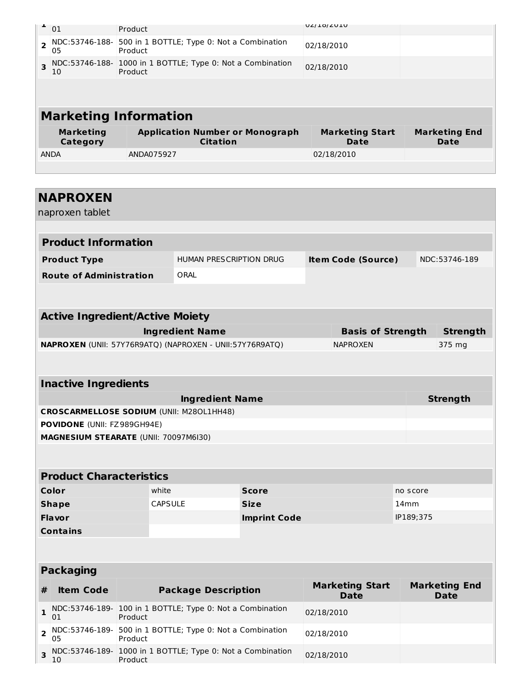|                | 01                           | Product                      |                                                            | UZ/IO/ZUIU                     |                              |
|----------------|------------------------------|------------------------------|------------------------------------------------------------|--------------------------------|------------------------------|
| $\overline{2}$ | 05                           | Product                      | NDC:53746-188- 500 in 1 BOTTLE; Type 0: Not a Combination  | 02/18/2010                     |                              |
| 3              | 10                           | Product                      | NDC:53746-188- 1000 in 1 BOTTLE; Type 0: Not a Combination | 02/18/2010                     |                              |
|                |                              |                              |                                                            |                                |                              |
|                |                              | <b>Marketing Information</b> |                                                            |                                |                              |
|                |                              |                              |                                                            |                                |                              |
|                | <b>Marketing</b><br>Category |                              | <b>Application Number or Monograph</b><br><b>Citation</b>  | <b>Marketing Start</b><br>Date | <b>Marketing End</b><br>Date |
|                | <b>ANDA</b>                  | ANDA075927                   |                                                            | 02/18/2010                     |                              |
|                |                              |                              |                                                            |                                |                              |
|                |                              |                              |                                                            |                                |                              |
|                | <b>NAPROXEN</b>              |                              |                                                            |                                |                              |

| <b>Product Information</b>     |                         |                           |               |
|--------------------------------|-------------------------|---------------------------|---------------|
| <b>Product Type</b>            | HUMAN PRESCRIPTION DRUG | <b>Item Code (Source)</b> | NDC:53746-189 |
| <b>Route of Administration</b> | ORAL                    |                           |               |

| <b>Active Ingredient/Active Moiety</b>                          |                          |          |
|-----------------------------------------------------------------|--------------------------|----------|
| <b>Ingredient Name</b>                                          | <b>Basis of Strength</b> | Strenath |
| <b>NAPROXEN</b> (UNII: 57Y76R9ATO) (NAPROXEN - UNII:57Y76R9ATO) | <b>NAPROXEN</b>          | 375 mg   |

| <b>Inactive Ingredients</b>                     |          |  |  |  |
|-------------------------------------------------|----------|--|--|--|
| <b>Ingredient Name</b>                          | Strength |  |  |  |
| <b>CROSCARMELLOSE SODIUM (UNII: M280L1HH48)</b> |          |  |  |  |
| <b>POVIDONE</b> (UNII: FZ989GH94E)              |          |  |  |  |
| <b>MAGNESIUM STEARATE (UNII: 70097M6I30)</b>    |          |  |  |  |

| <b>Product Characteristics</b> |                |                     |           |  |  |  |
|--------------------------------|----------------|---------------------|-----------|--|--|--|
| Color                          | white          | <b>Score</b>        | no score  |  |  |  |
| <b>Shape</b>                   | <b>CAPSULE</b> | <b>Size</b>         | $14$ mm   |  |  |  |
| <b>Flavor</b>                  |                | <b>Imprint Code</b> | IP189;375 |  |  |  |
| <b>Contains</b>                |                |                     |           |  |  |  |

|   | <b>Packaging</b> |                                                                       |                                       |                                     |
|---|------------------|-----------------------------------------------------------------------|---------------------------------------|-------------------------------------|
| # | <b>Item Code</b> | <b>Package Description</b>                                            | <b>Marketing Start</b><br><b>Date</b> | <b>Marketing End</b><br><b>Date</b> |
|   | 01               | NDC:53746-189- 100 in 1 BOTTLE; Type 0: Not a Combination<br>Product  | 02/18/2010                            |                                     |
|   | 05               | NDC:53746-189- 500 in 1 BOTTLE; Type 0: Not a Combination<br>Product  | 02/18/2010                            |                                     |
|   | 10               | NDC:53746-189- 1000 in 1 BOTTLE; Type 0: Not a Combination<br>Product | 02/18/2010                            |                                     |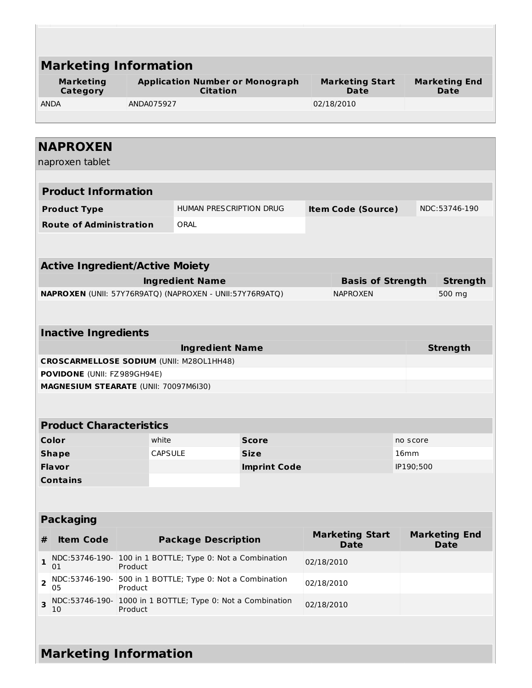| <b>Marketing</b>                                                                            | <b>Marketing Information</b>                              |                                |                     |                                       |                                       |                              |                                     |
|---------------------------------------------------------------------------------------------|-----------------------------------------------------------|--------------------------------|---------------------|---------------------------------------|---------------------------------------|------------------------------|-------------------------------------|
| Category                                                                                    | <b>Application Number or Monograph</b><br><b>Citation</b> |                                |                     | <b>Marketing Start</b><br><b>Date</b> |                                       | <b>Marketing End</b><br>Date |                                     |
| <b>ANDA</b>                                                                                 | ANDA075927                                                |                                |                     | 02/18/2010                            |                                       |                              |                                     |
|                                                                                             |                                                           |                                |                     |                                       |                                       |                              |                                     |
| <b>NAPROXEN</b><br>naproxen tablet                                                          |                                                           |                                |                     |                                       |                                       |                              |                                     |
|                                                                                             |                                                           |                                |                     |                                       |                                       |                              |                                     |
| <b>Product Information</b>                                                                  |                                                           |                                |                     |                                       |                                       |                              |                                     |
| <b>Product Type</b>                                                                         |                                                           | <b>HUMAN PRESCRIPTION DRUG</b> |                     |                                       | <b>Item Code (Source)</b>             |                              | NDC:53746-190                       |
| <b>Route of Administration</b>                                                              |                                                           | ORAL                           |                     |                                       |                                       |                              |                                     |
|                                                                                             |                                                           |                                |                     |                                       |                                       |                              |                                     |
| <b>Active Ingredient/Active Moiety</b>                                                      |                                                           |                                |                     |                                       |                                       |                              |                                     |
|                                                                                             |                                                           | <b>Ingredient Name</b>         |                     |                                       | <b>Basis of Strength</b>              |                              | <b>Strength</b>                     |
| NAPROXEN (UNII: 57Y76R9ATQ) (NAPROXEN - UNII:57Y76R9ATQ)                                    |                                                           |                                |                     |                                       | <b>NAPROXEN</b>                       |                              | 500 mg                              |
|                                                                                             |                                                           |                                |                     |                                       |                                       |                              |                                     |
| <b>Inactive Ingredients</b>                                                                 |                                                           |                                |                     |                                       |                                       |                              |                                     |
|                                                                                             |                                                           | <b>Ingredient Name</b>         |                     |                                       |                                       |                              | <b>Strength</b>                     |
| <b>CROSCARMELLOSE SODIUM (UNII: M280L1HH48)</b><br><b>POVIDONE (UNII: FZ989GH94E)</b>       |                                                           |                                |                     |                                       |                                       |                              |                                     |
| MAGNESIUM STEARATE (UNII: 70097M6I30)                                                       |                                                           |                                |                     |                                       |                                       |                              |                                     |
|                                                                                             |                                                           |                                |                     |                                       |                                       |                              |                                     |
|                                                                                             |                                                           |                                |                     |                                       |                                       |                              |                                     |
| <b>Product Characteristics</b>                                                              |                                                           |                                |                     |                                       |                                       |                              |                                     |
| Color                                                                                       | white                                                     |                                | <b>Score</b>        |                                       |                                       | no score                     |                                     |
| <b>Shape</b>                                                                                | CAPSULE                                                   |                                | <b>Size</b>         |                                       |                                       | 16 <sub>mm</sub>             |                                     |
| <b>Flavor</b>                                                                               |                                                           |                                | <b>Imprint Code</b> |                                       |                                       | IP190;500                    |                                     |
| <b>Contains</b>                                                                             |                                                           |                                |                     |                                       |                                       |                              |                                     |
|                                                                                             |                                                           |                                |                     |                                       |                                       |                              |                                     |
| <b>Packaging</b>                                                                            |                                                           |                                |                     |                                       |                                       |                              |                                     |
| <b>Item Code</b><br>#                                                                       |                                                           | <b>Package Description</b>     |                     |                                       | <b>Marketing Start</b><br><b>Date</b> |                              | <b>Marketing End</b><br><b>Date</b> |
| NDC:53746-190- 100 in 1 BOTTLE; Type 0: Not a Combination<br>$\mathbf{1}$<br>01             | Product                                                   |                                |                     | 02/18/2010                            |                                       |                              |                                     |
| NDC:53746-190- 500 in 1 BOTTLE; Type 0: Not a Combination<br>$\overline{\mathbf{2}}$<br>05  | Product                                                   |                                |                     | 02/18/2010                            |                                       |                              |                                     |
| NDC:53746-190- 1000 in 1 BOTTLE; Type 0: Not a Combination<br>$\overline{\mathbf{3}}$<br>10 | Product                                                   |                                |                     | 02/18/2010                            |                                       |                              |                                     |

10 Product